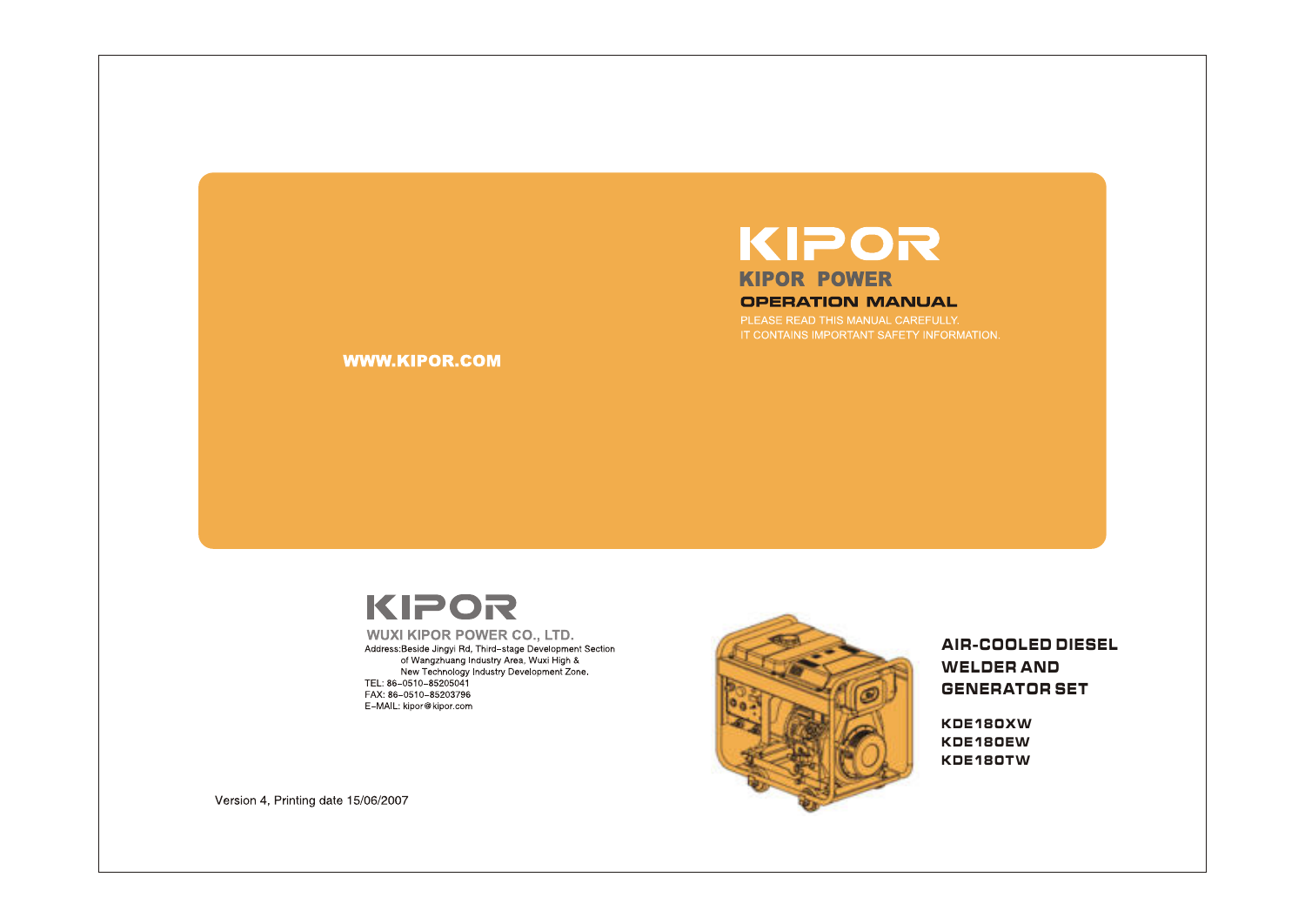# KIPOR **KIPOR POWER OPERATION MANUAL**

PLEASE READ THIS MANUAL CAREFULLY. IT CONTAINS IMPORTANT SAFETY INFORMATION.

**WWW.KIPOR.COM** 

# KIPOR

**WUXI KIPOR POWER CO., LTD.** Address:Beside Jingyi Rd, Third-stage Development Section of Wangzhuang Industry Area, Wuxi High &<br>The Wangzhuang Industry Area, Wuxi High &<br>New Technology Industry Development Zone. TEL: 86-0510-85205041 FAX: 86-0510-85203796 E-MAIL: kipor@kipor.com



AIR-COOLED DIESEL WELDER AND **GENERATOR SET** 

KDE180XW KDE180EW KDE180TW

Version 4, Printing date 15/06/2007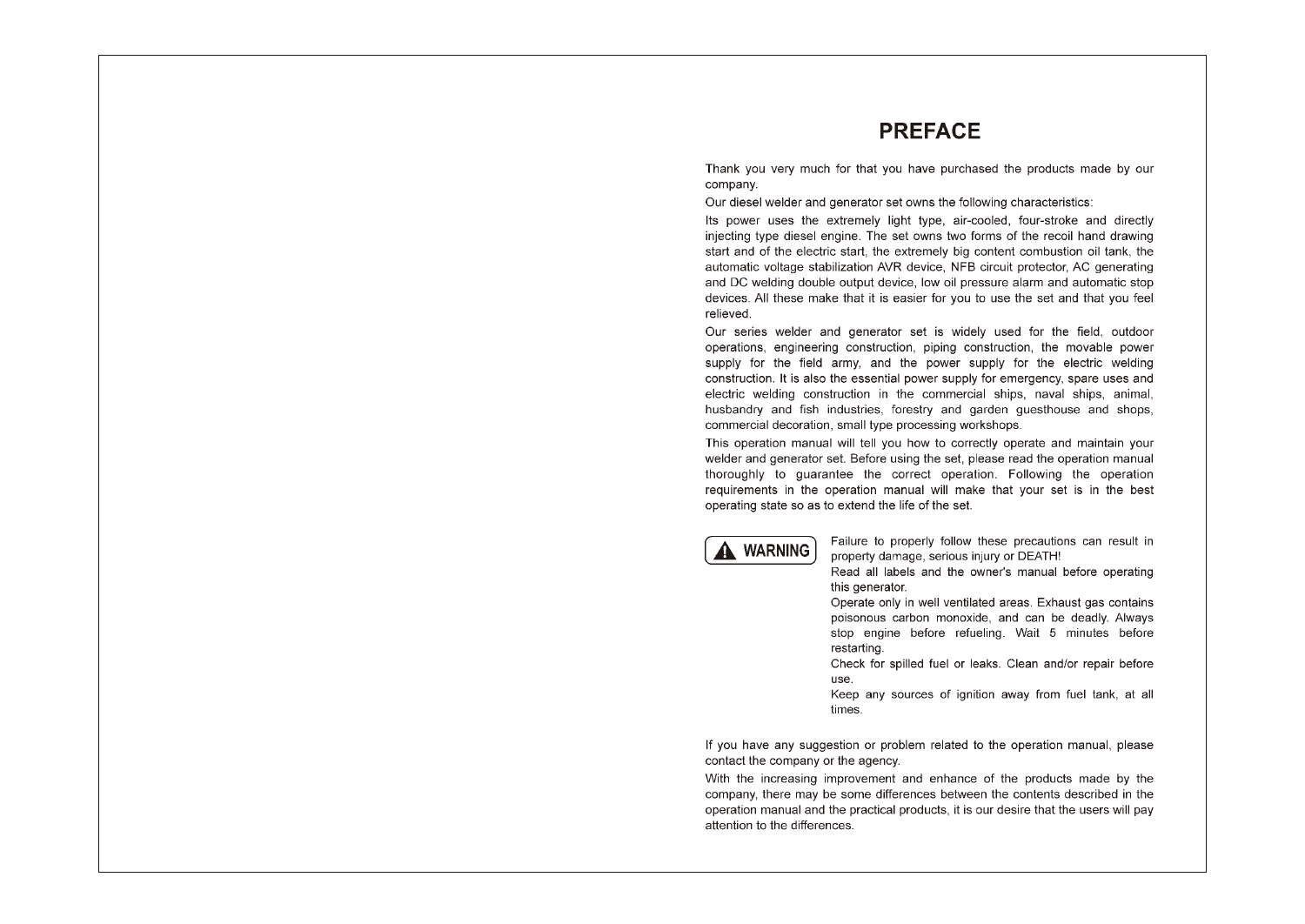# **PREFACE**

Thank you very much for that you have purchased the products made by our company.

Our diesel welder and generator set owns the following characteristics:

Its power uses the extremely light type, air-cooled, four-stroke and directly injecting type diesel engine. The set owns two forms of the recoil hand drawing start and of the electric start, the extremely big content combustion oil tank, the automatic voltage stabilization AVR device. NFB circuit protector. AC generating and DC welding double output device. low oil pressure alarm and automatic stop devices. All these make that it is easier for you to use the set and that you feel relieved.

Our series welder and generator set is widely used for the field, outdoor operations, engineering construction, piping construction, the movable power supply for the field army, and the power supply for the electric welding construction. It is also the essential power supply for emergency, spare uses and electric welding construction in the commercial ships, naval ships, animal. husbandry and fish industries, forestry and garden guesthouse and shops, commercial decoration, small type processing workshops.

This operation manual will tell you how to correctly operate and maintain your welder and generator set. Before using the set, please read the operation manual thoroughly to quarantee the correct operation. Following the operation requirements in the operation manual will make that your set is in the best operating state so as to extend the life of the set.



Failure to properly follow these precautions can result in property damage, serious injury or DEATH!

Read all labels and the owner's manual before operating this generator.

Operate only in well ventilated areas. Exhaust gas contains poisonous carbon monoxide, and can be deadly. Always stop engine before refueling. Wait 5 minutes before restarting.

Check for spilled fuel or leaks. Clean and/or repair before use.

Keep any sources of ignition away from fuel tank, at all times.

If you have any suggestion or problem related to the operation manual, please contact the company or the agency.

With the increasing improvement and enhance of the products made by the company, there may be some differences between the contents described in the operation manual and the practical products, it is our desire that the users will pay attention to the differences.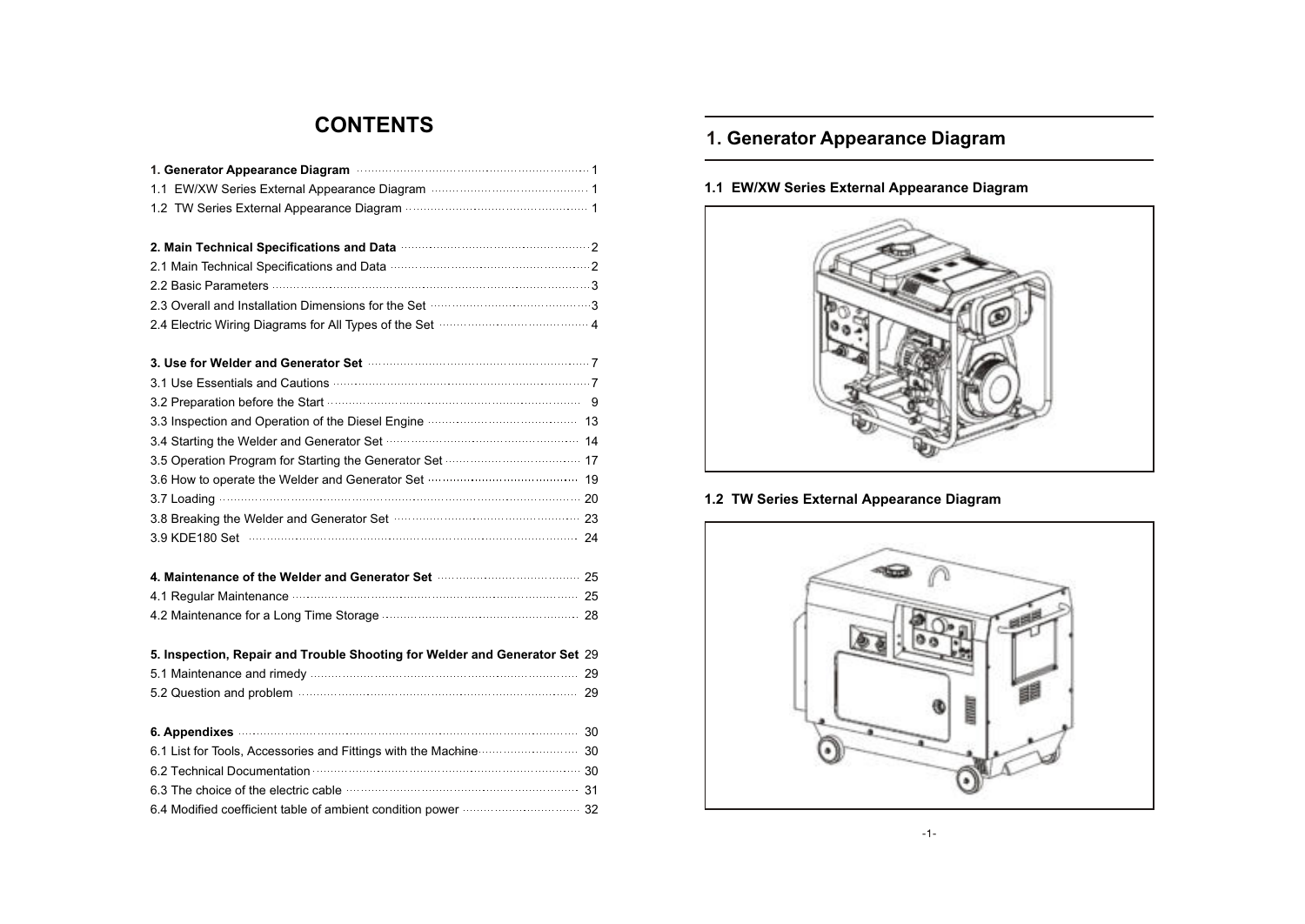# **CONTENTS**

| 2. Main Technical Specifications and Data <b>contract to the Contract Automobile</b> 2              |  |
|-----------------------------------------------------------------------------------------------------|--|
|                                                                                                     |  |
|                                                                                                     |  |
|                                                                                                     |  |
| 2.4 Electric Wiring Diagrams for All Types of the Set manufactured and 4                            |  |
|                                                                                                     |  |
| 3.1 Use Essentials and Cautions <b>Commission Commission</b> 7                                      |  |
| 3.2 Preparation before the Start manufactured and start of 9                                        |  |
|                                                                                                     |  |
|                                                                                                     |  |
|                                                                                                     |  |
| 3.6 How to operate the Welder and Generator Set manufacture and 19                                  |  |
|                                                                                                     |  |
| 3.8 Breaking the Welder and Generator Set <b>construction and all any contract and Senerator</b> 23 |  |
|                                                                                                     |  |
| 4. Maintenance of the Welder and Generator Set manufacture and 25                                   |  |
|                                                                                                     |  |
|                                                                                                     |  |
| 5. Inspection, Repair and Trouble Shooting for Welder and Generator Set 29                          |  |
|                                                                                                     |  |
|                                                                                                     |  |
| 6. Appendixes 30                                                                                    |  |
| 6.1 List for Tools, Accessories and Fittings with the Machine <b>Communisties</b> 30                |  |
|                                                                                                     |  |
| 6.3 The choice of the electric cable <b>contract to the choice of the electric cable</b>            |  |
|                                                                                                     |  |

# **1. Generator Appearance Diagram**

### **1.1 EW/XW Series External Appearance Diagram**



### **1.2 TW Series External Appearance Diagram**

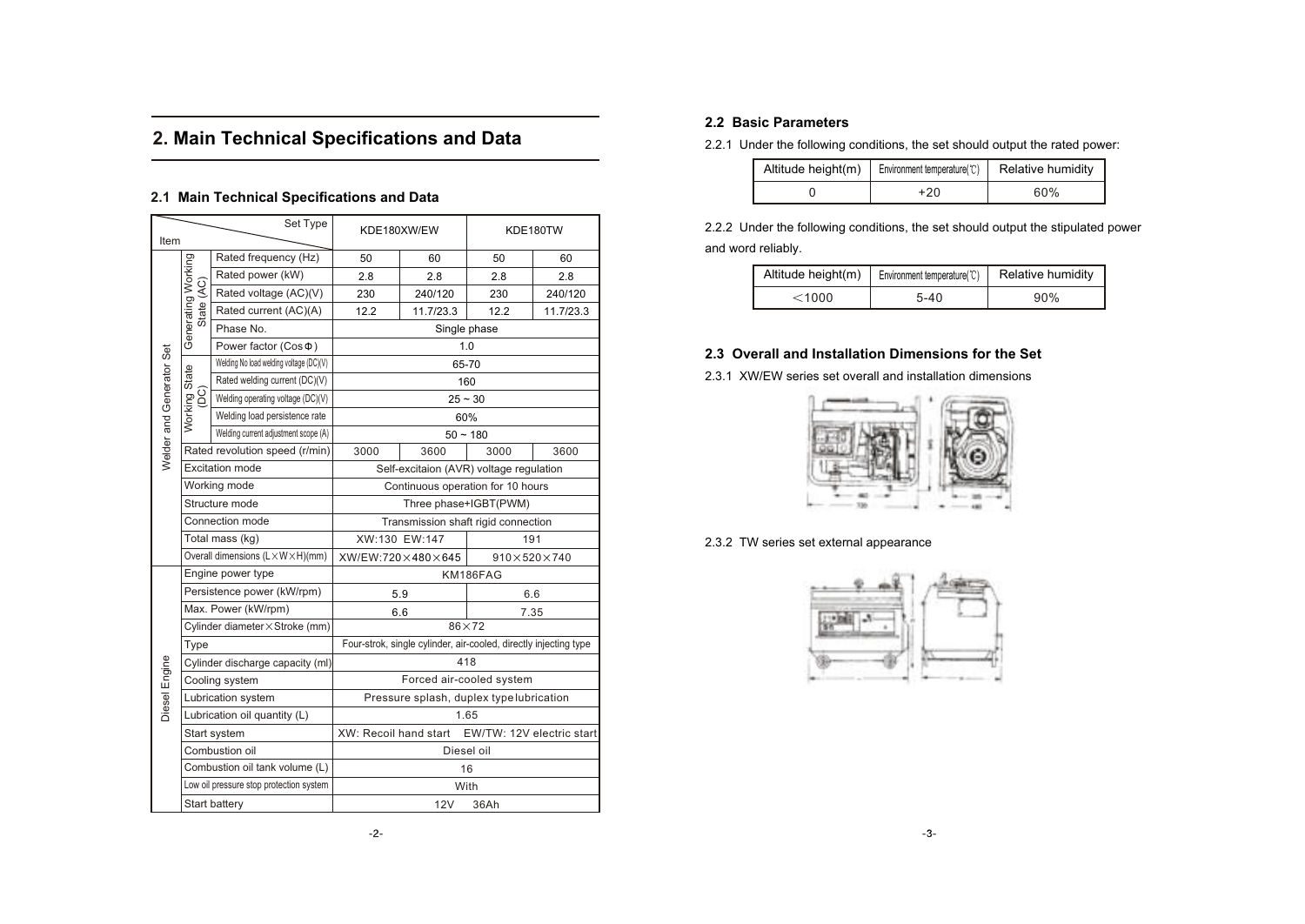# **2. Main Technical Specifications and Data**

### **2.1 Main Technical Specifications and Data**

| Item                     |                              | Set Type                                | KDE180XW/EW                                                      |                       | KDE180TW                                |           |  |
|--------------------------|------------------------------|-----------------------------------------|------------------------------------------------------------------|-----------------------|-----------------------------------------|-----------|--|
|                          |                              | Rated frequency (Hz)                    | 50                                                               | 60                    | 50                                      | 60        |  |
|                          |                              | Rated power (kW)                        | 2.8                                                              | 2.8                   | 2.8                                     | 2.8       |  |
|                          |                              | Rated voltage (AC)(V)                   | 230                                                              | 240/120               | 230                                     | 240/120   |  |
|                          | State (AC)                   | Rated current (AC)(A)                   | 12.2                                                             | 11.7/23.3             | 12.2                                    | 11.7/23.3 |  |
|                          | Generating Working           | Phase No.                               |                                                                  |                       | Single phase                            |           |  |
|                          |                              | Power factor (Cos $\Phi$ )              |                                                                  |                       | 1.0                                     |           |  |
|                          |                              | Welding No load welding voltage (DC)(V) |                                                                  |                       | 65-70                                   |           |  |
|                          | Working State                | Rated welding current (DC)(V)           |                                                                  |                       | 160                                     |           |  |
|                          | (DC)                         | Welding operating voltage (DC)(V)       |                                                                  |                       | $25 - 30$                               |           |  |
|                          |                              | Welding load persistence rate           |                                                                  |                       | 60%                                     |           |  |
|                          |                              | Welding current adjustment scope (A)    |                                                                  | $50 - 180$            |                                         |           |  |
| Welder and Generator Set |                              | Rated revolution speed (r/min)          | 3000                                                             | 3600                  | 3000                                    | 3600      |  |
|                          |                              | <b>Excitation mode</b>                  |                                                                  |                       | Self-excitaion (AVR) voltage regulation |           |  |
|                          |                              | Working mode                            |                                                                  |                       | Continuous operation for 10 hours       |           |  |
|                          |                              | Structure mode                          |                                                                  | Three phase+IGBT(PWM) |                                         |           |  |
|                          |                              | Connection mode                         | Transmission shaft rigid connection                              |                       |                                         |           |  |
|                          |                              | Total mass (kg)                         | XW:130 EW:147<br>191                                             |                       |                                         |           |  |
|                          |                              | Overall dimensions (L×W×H)(mm)          | XW/EW:720×480×645<br>$910\times520\times740$                     |                       |                                         |           |  |
|                          |                              | Engine power type                       | KM186FAG                                                         |                       |                                         |           |  |
|                          |                              | Persistence power (kW/rpm)              | 5.9                                                              |                       | 6.6                                     |           |  |
|                          |                              | Max. Power (kW/rpm)                     | 7.35<br>6.6                                                      |                       |                                         |           |  |
|                          |                              | Cylinder diameter × Stroke (mm)         | $86\times72$                                                     |                       |                                         |           |  |
|                          | Type                         |                                         | Four-strok, single cylinder, air-cooled, directly injecting type |                       |                                         |           |  |
| Diesel Engine            |                              | Cylinder discharge capacity (ml)        | 418                                                              |                       |                                         |           |  |
|                          |                              | Cooling system                          | Forced air-cooled system                                         |                       |                                         |           |  |
|                          | Lubrication system           |                                         | Pressure splash, duplex type lubrication                         |                       |                                         |           |  |
|                          | Lubrication oil quantity (L) |                                         | 1.65                                                             |                       |                                         |           |  |
|                          |                              | Start system                            | XW: Recoil hand start<br>EW/TW: 12V electric start               |                       |                                         |           |  |
|                          |                              | Combustion oil                          | Diesel oil                                                       |                       |                                         |           |  |
|                          |                              | Combustion oil tank volume (L)          |                                                                  |                       | 16                                      |           |  |
|                          |                              | Low oil pressure stop protection system |                                                                  |                       | With                                    |           |  |
|                          |                              | <b>Start battery</b>                    | 12V<br>36Ah                                                      |                       |                                         |           |  |

### **2.2 Basic Parameters**

2.2.1 Under the following conditions, the set should output the rated power:

| Altitude height(m)   Environment temperature( $\mathbb{C}$ ) | Relative humidity |
|--------------------------------------------------------------|-------------------|
| +20                                                          | 60%               |

2.2.2 Under the following conditions, the set should output the stipulated power and word reliably.

| Altitude height(m) | Environment temperature(°C) | Relative humidity |
|--------------------|-----------------------------|-------------------|
| $<$ 1000 $\,$      | $5 - 40$                    | 90%               |

### **2.3 Overall and Installation Dimensions for the Set**

2.3.1 XW/EW series set overall and installation dimensions



2.3.2 TW series set external appearance

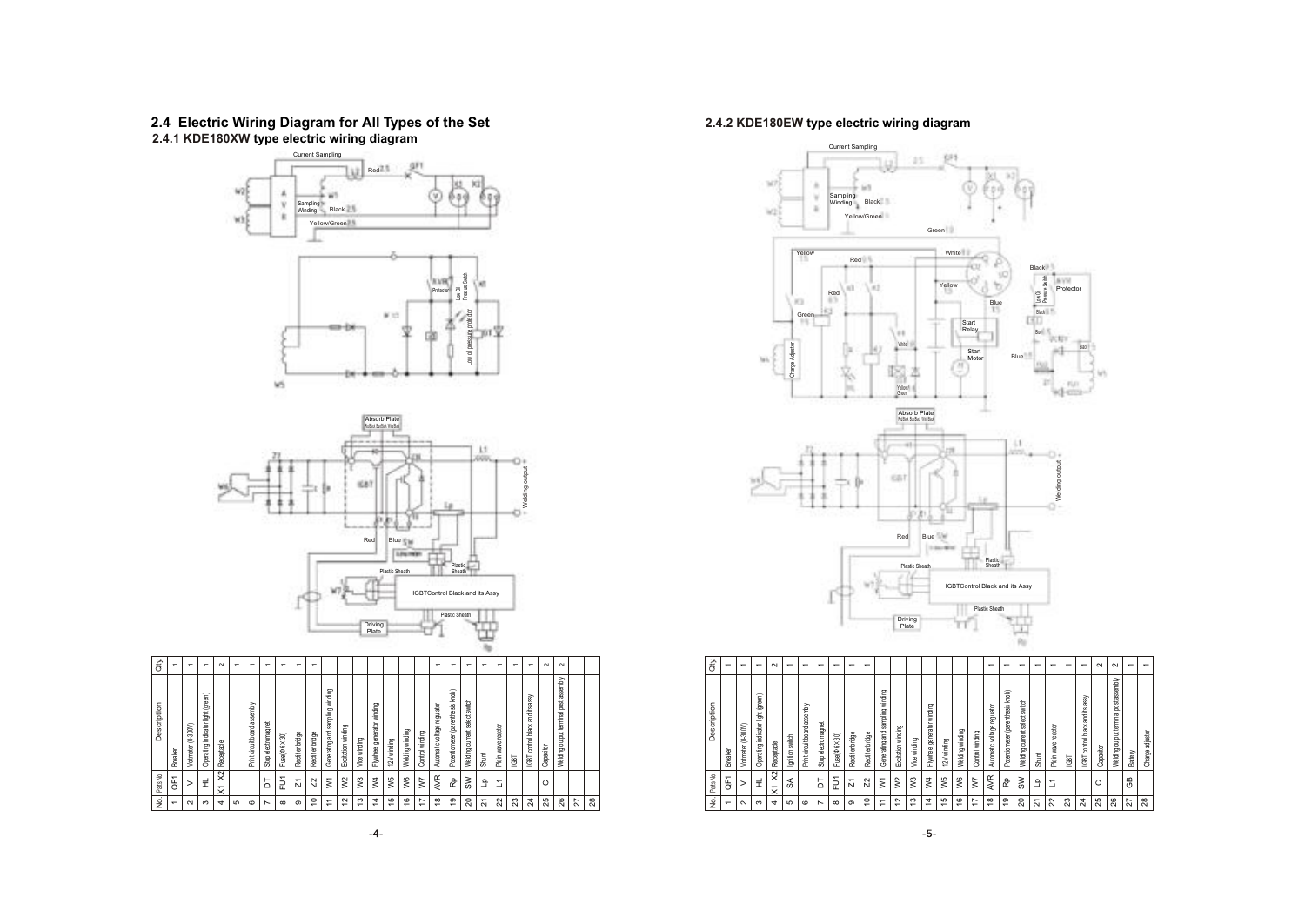#### **2.4 Electric Wiring Diagram for All Types of the Set 2.4.1 KDE180XW type electric wiring diagram**





| 9.             | Parts No.      | Description                                   | QŅ.                      |
|----------------|----------------|-----------------------------------------------|--------------------------|
| $\overline{ }$ | Ĕ              | Breaker                                       | $\overline{\phantom{0}}$ |
| $\sim$         | >              | Koltmeter (0-300V)                            | $\leftarrow$             |
| ო              | 로              | light (green)<br>indicator<br>Operating       | $\mathbf -$              |
| 4              | $\approx$<br>¥ | Receptacle                                    | $\sim$                   |
| LO             |                |                                               | $\mathbf -$              |
| $\circ$        |                | Print circuit board assembly                  | $\overline{ }$           |
| N              | Б              | electromagnet<br>Stop                         | $\mathbf -$              |
| $\infty$       | Ë              | $Fuse(0.6\times30)$                           | $\mathbf -$              |
| ၜ              | N              | Rectifier bridge                              | $\mathbf -$              |
| \$             | $\mathcal{L}$  | Rectifier bridge                              | $\overline{ }$           |
| Ξ              | ξ              | Generating and sampling winding               |                          |
| $\tilde{c}$    | $\approx$      | Excitation winding                            |                          |
| చ              | $\sqrt{3}$     | Vice winding                                  |                          |
| 4              | $\mathsf{N}^4$ | winding<br>generator<br>Flywheel              |                          |
| 40             | w5             | 12V winding                                   |                          |
| $\frac{6}{2}$  | χ6             | Nelding winding                               |                          |
| ₽              | Ş              | Control winding                               |                          |
| $\frac{8}{2}$  | AVR            | Automatic voltage regulator                   | $\mathbf -$              |
| စ္             | 윤              | Potentiometer (parenthesis knob)              | $\overline{ }$           |
| 20             | S₩             | switch<br>current select<br>Welding           | $\mathbf -$              |
| ಸ              | £              | Shunt                                         | $\mathbf -$              |
| ನಿ             | Σ              | reactor<br>Plain wave                         | $\mathbf -$              |
| 23             |                | <b>TBD</b>                                    | $\mathbf -$              |
| $\overline{a}$ |                | assy<br>碧<br>βl<br>black:<br>control<br>IGBT. | $\overline{ }$           |
| 25             | $\circ$        | Capacitor                                     | $\sim$                   |
| 26             |                | assembly<br>ğ<br>output terminal<br>Welding   | $\sim$                   |
| 27             |                |                                               |                          |
| 28             |                |                                               |                          |
|                |                |                                               |                          |

### **2.4.2 KDE180EW type electric wiring diagram**



| à           | $\overline{\phantom{0}}$ | $\overline{ }$     | $\overline{ }$                    | $\sim$                                            | $\overline{ }$ | $\overline{ }$                  | $\overline{ }$       | ᠇           | $\overline{\phantom{0}}$ | ᠇                |                                 |                    |              |                            |               |                 |                 | ᠆                           | $\overline{\phantom{0}}$         | ᠇                             | $\overline{ }$ | $\overline{ }$             | $\overline{\phantom{0}}$ | $\overline{ }$                              | $\sim$    | $\sim$                                   | $\overline{ }$ | $\overline{\phantom{0}}$ |
|-------------|--------------------------|--------------------|-----------------------------------|---------------------------------------------------|----------------|---------------------------------|----------------------|-------------|--------------------------|------------------|---------------------------------|--------------------|--------------|----------------------------|---------------|-----------------|-----------------|-----------------------------|----------------------------------|-------------------------------|----------------|----------------------------|--------------------------|---------------------------------------------|-----------|------------------------------------------|----------------|--------------------------|
| Description | Breaker                  | Voltmeter (0-300V) | Operating indicator light (green) | Receptacle                                        | gnition switch | assembly<br>Print circuit board | electromagnet<br>Sbp | Fuse(06×30) | Rectifier bridge         | Rectifier bridge | Generating and sampling winding | Excitation winding | Vice winding | Flywheel generator winding | 12V winding   | Welding winding | Control winding | Automatic voltage regulator | Potentiometer (parenthesis knob) | Welding current select switch | Shunt          | Plain wave reactor         | <b>GBT</b>               | assy<br>control black and its<br><b>GBT</b> | Capacitor | assembly<br>Welding output terminal post | Battery        | adjustor<br>Charge       |
| Parts No.   | ᠆<br>₩                   | ⋗                  | £                                 | $\frac{2}{2}$<br>$\overline{ }$<br>$\dot{\times}$ | ₷              |                                 | Б                    | Ξ           | N                        | N                | ξ                               | $\approx$          | $\sqrt{3}$   | $\geq$                     | w5            | W6              | Σ               | AVR                         | è                                | ≷                             | 오              | Σ                          |                          |                                             | $\circ$   |                                          | සී             |                          |
| 9.          | $\overline{ }$           | $\sim$             | ო                                 | $\overline{ }$                                    | 5              | $\circ$                         | $\overline{ }$       | $\infty$    | ၜ                        | S                | ∓                               | $\overline{c}$     | ₽            | 4                          | $\frac{5}{2}$ | ۴               | 17              | $\frac{8}{2}$               | စ္                               | 20                            | 21             | $\boldsymbol{\mathcal{Z}}$ | 23                       | $\boldsymbol{z}$                            | 25        | 26                                       | 27             | 28                       |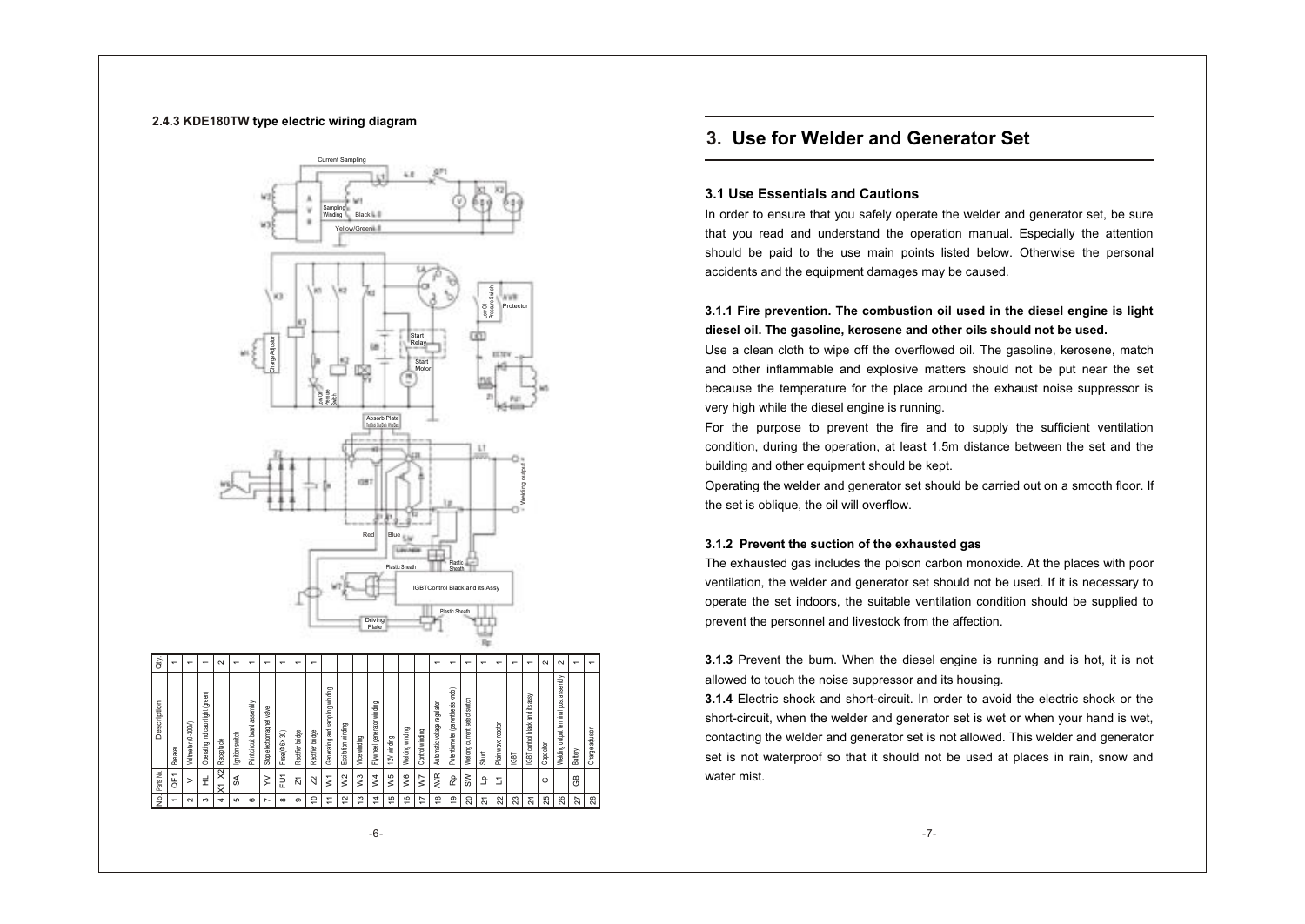#### **2.4.3 KDE180TW type electric wiring diagram**



# **3. Use for Welder and Generator Set**

#### **3.1 Use Essentials and Cautions**

In order to ensure that you safely operate the welder and generator set, be sure that you read and understand the operation manual. Especially the attention should be paid to the use main points listed below. Otherwise the personal accidents and the equipment damages may be caused.

### **3.1.1 Fire prevention. The combustion oil used in the diesel engine is light diesel oil. The gasoline, kerosene and other oils should not be used.**

Use a clean cloth to wipe off the overflowed oil. The gasoline, kerosene, match and other inflammable and explosive matters should not be put near the set because the temperature for the place around the exhaust noise suppressor is very high while the diesel engine is running.

For the purpose to prevent the fire and to supply the sufficient ventilation condition, during the operation, at least 1.5m distance between the set and the building and other equipment should be kept.

Operating the welder and generator set should be carried out on a smooth floor. If the set is oblique, the oil will overflow.

#### **3.1.2 Prevent the suction of the exhausted gas**

The exhausted gas includes the poison carbon monoxide. At the places with poor ventilation, the welder and generator set should not be used. If it is necessary to operate the set indoors, the suitable ventilation condition should be supplied to prevent the personnel and livestock from the affection.

**3.1.3** Prevent the burn. When the diesel engine is running and is hot, it is not allowed to touch the noise suppressor and its housing.

**3.1.4** Electric shock and short-circuit. In order to avoid the electric shock or the short-circuit, when the welder and generator set is wet or when your hand is wet, contacting the welder and generator set is not allowed. This welder and generator set is not waterproof so that it should not be used at places in rain, snow and water mist.

 $^{\circ}$ 

Shunt

IGBT

 $^{\rm g}$  |

Battery Charge adjustor

 $\overline{\phantom{a}}$ 

No. Parts No. Description Qty.

 $\overline{\phantom{a}}$  $\scriptstyle\sim$ ო 4 ء 6~  $^\alpha$ ග 10 11  $\Xi$ <u>ణ</u> 14 5  $\tilde{e}$ 17  $\frac{8}{1}$ Զ នា 。  $^{\circ}$ జె ∣  $\frac{24}{3}$ ని∣ 26 72  $\frac{8}{2}$ 

Ğ.  $\,>$ HL X1 X2  $\frac{1}{2}$ ≷ I E. <u>ក</u>  $^{\circ}$ W1 W2 W3 W4 W5 W6 W7 AVR Rp క్l ۹. L1

Breaker

 $\overline{\phantom{a}}$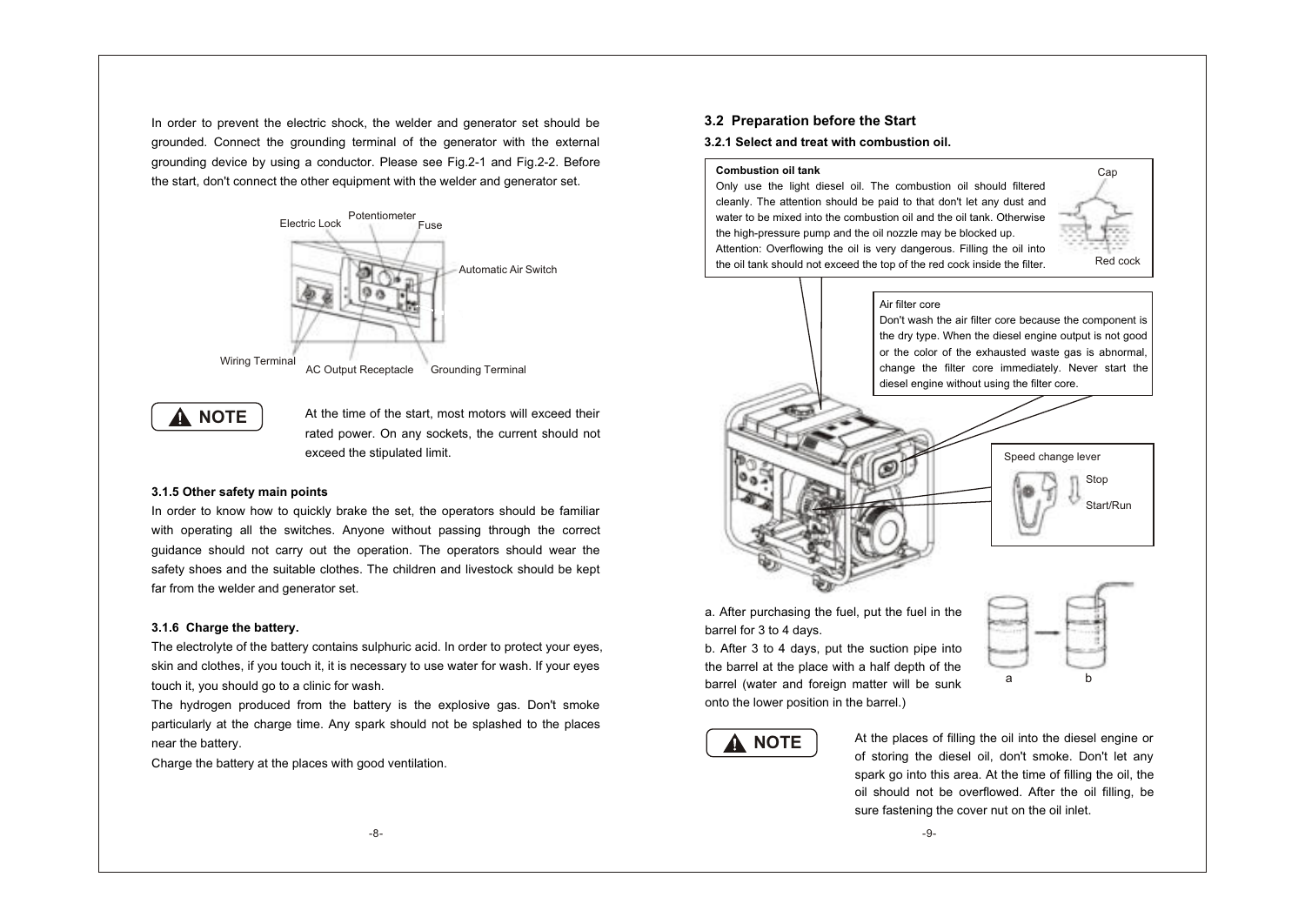In order to prevent the electric shock, the welder and generator set should be grounded. Connect the grounding terminal of the generator with the external grounding device by using a conductor. Please see Fig.2-1 and Fig.2-2. Before the start, don't connect the other equipment with the welder and generator set.



# **A** NOTE

At the time of the start, most motors will exceed their rated power. On any sockets, the current should not exceed the stipulated limit.

#### **3.1.5 Other safety main points**

In order to know how to quickly brake the set, the operators should be familiar with operating all the switches. Anyone without passing through the correct guidance should not carry out the operation. The operators should wear the safety shoes and the suitable clothes. The children and livestock should be kept far from the welder and generator set.

#### **3.1.6 Charge the battery.**

The electrolyte of the battery contains sulphuric acid. In order to protect your eyes, skin and clothes, if you touch it, it is necessary to use water for wash. If your eyes touch it, you should go to a clinic for wash.

The hydrogen produced from the battery is the explosive gas. Don't smoke particularly at the charge time. Any spark should not be splashed to the places near the battery.

Charge the battery at the places with good ventilation.

#### **3.2 Preparation before the Start**

#### **3.2.1 Select and treat with combustion oil.**

#### **Combustion oil tank**

Only use the light diesel oil. The combustion oil should filtered cleanly. The attention should be paid to that don't let any dust and water to be mixed into the combustion oil and the oil tank. Otherwise the high-pressure pump and the oil nozzle may be blocked up. Attention: Overflowing the oil is very dangerous. Filling the oil into the oil tank should not exceed the top of the red cock inside the filter.



#### Air filter core

Don't wash the air filter core because the component is the dry type. When the diesel engine output is not good or the color of the exhausted waste gas is abnormal, change the filter core immediately. Never start the diesel engine without using the filter core.



a. After purchasing the fuel, put the fuel in the barrel for 3 to 4 days.

b. After 3 to 4 days, put the suction pipe into the barrel at the place with a half depth of the barrel (water and foreign matter will be sunk onto the lower position in the barrel.)





At the places of filling the oil into the diesel engine or of storing the diesel oil, don't smoke. Don't let any spark go into this area. At the time of filling the oil, the oil should not be overflowed. After the oil filling, be sure fastening the cover nut on the oil inlet.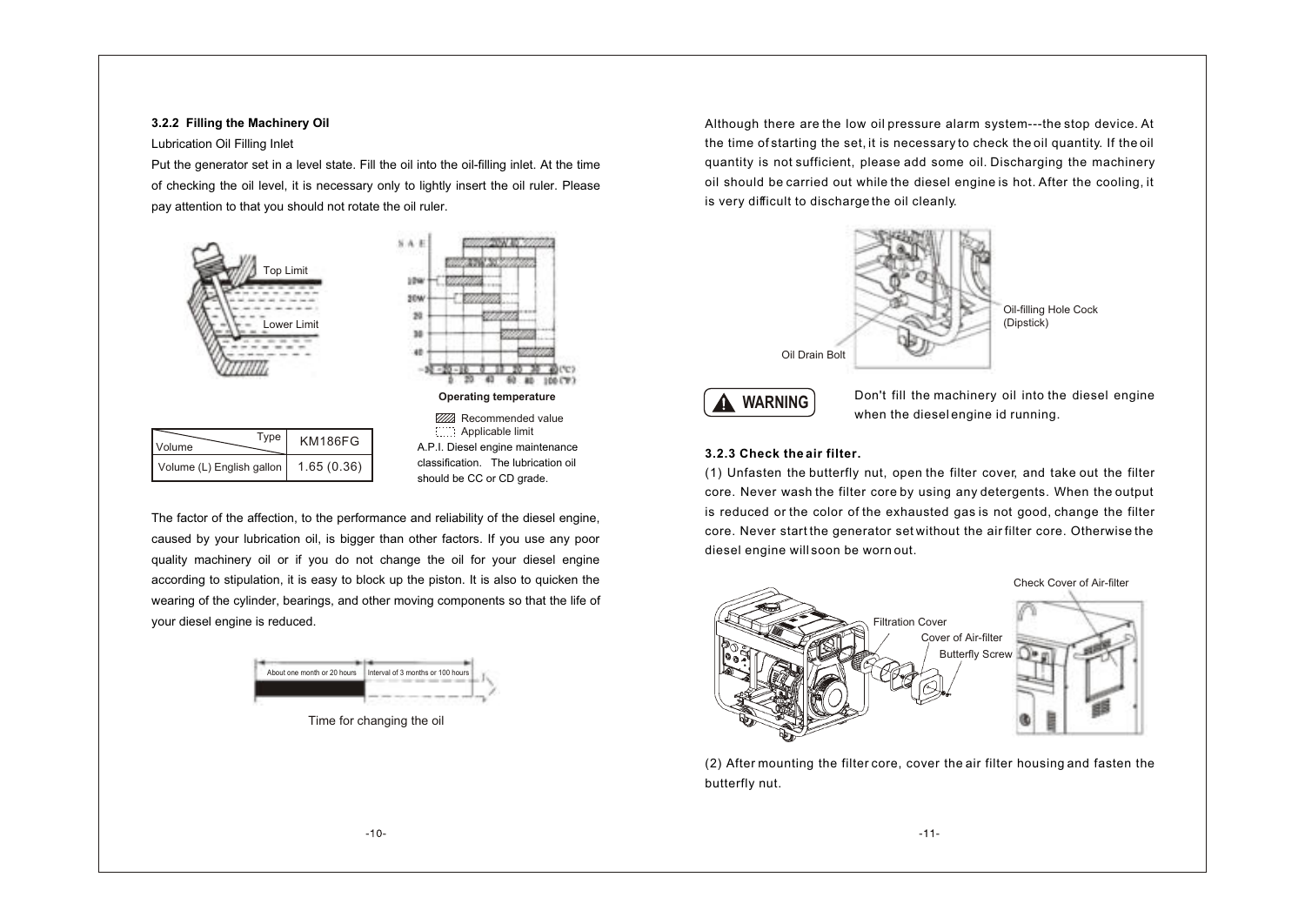#### **3.2.2 Filling the Machinery Oil**

#### Lubrication Oil Filling Inlet

Put the generator set in a level state. Fill the oil into the oil-filling inlet. At the time of checking the oil level, it is necessary only to lightly insert the oil ruler. Please pay attention to that you should not rotate the oil ruler.



The factor of the affection, to the performance and reliability of the diesel engine, caused by your lubrication oil, is bigger than other factors. If you use any poor quality machinery oil or if you do not change the oil for your diesel engine according to stipulation, it is easy to block up the piston. It is also to quicken the wearing of the cylinder, bearings, and other moving components so that the life of your diesel engine is reduced.



Time for changing the oil

Although there are the low oil pressure alarm system---the stop device. At the time of starting the set, it is necessary to check the oil quantity. If the oil quantity is not sufficient, please add some oil. Discharging the machinery oil should be carried out while the diesel engine is hot. After the cooling, it is very difficult to discharge the oil cleanly.





Don't fill the machinery oil into the diesel engine when the diesel engine id running.

#### **3.2.3 Check the air filter.**

(1) Unfasten the butterfly nut, open the filter cover, and take out the filter core. Never wash the filter core by using any detergents. When the output is reduced or the color of the exhausted gas is not good, change the filter core. Never start the generator set without the air filter core. Otherwise the diesel engine will soon be worn out.



(2) After mounting the filter core, cover the air filter housing and fasten the butterfly nut.

 $-11-$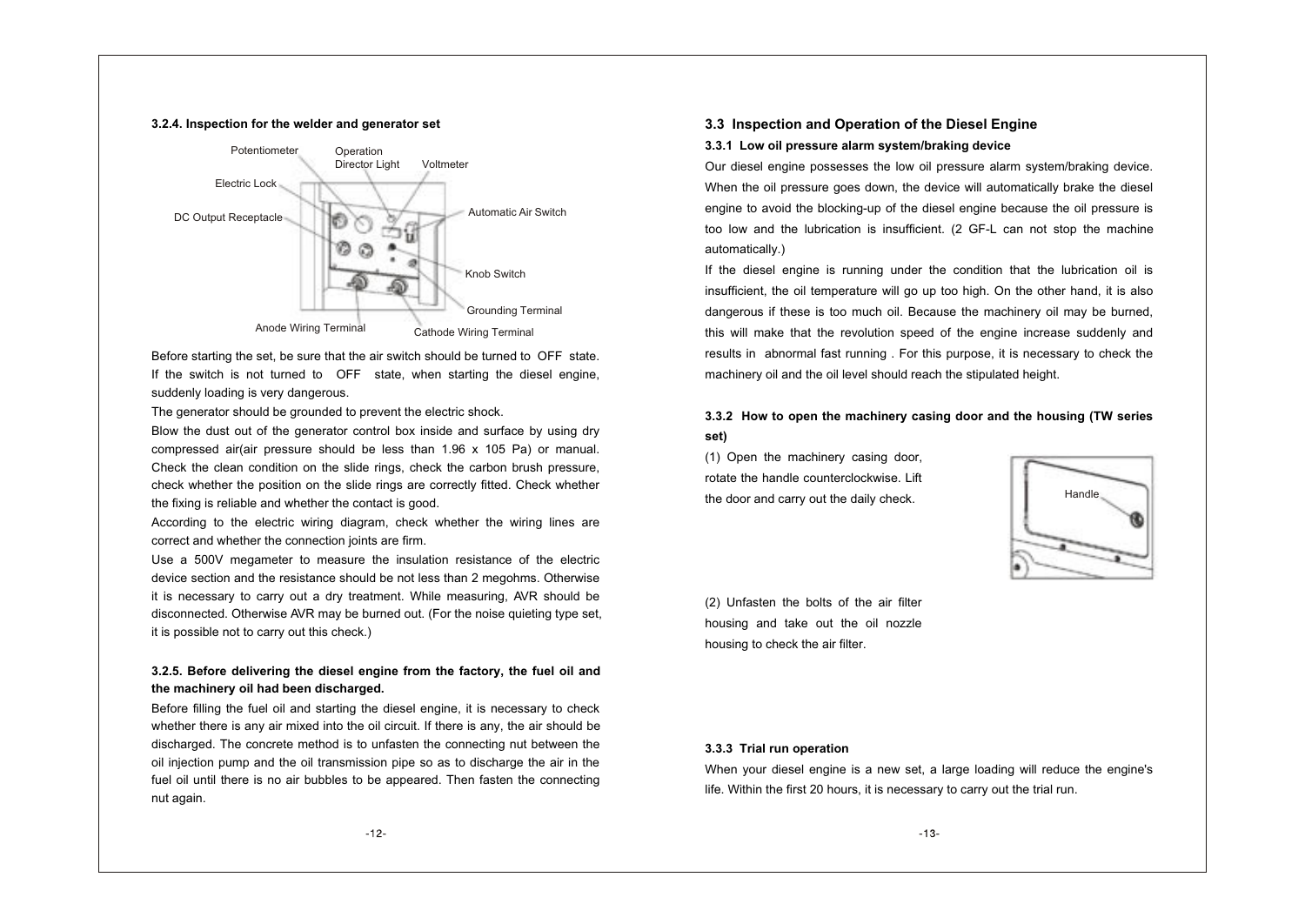#### **3.2.4. Inspection for the welder and generator set**



Before starting the set, be sure that the air switch should be turned to OFF state. If the switch is not turned to OFF state, when starting the diesel engine, suddenly loading is very dangerous.

The generator should be grounded to prevent the electric shock.

Blow the dust out of the generator control box inside and surface by using dry compressed air(air pressure should be less than  $1.96 \times 105$  Pa) or manual. Check the clean condition on the slide rings, check the carbon brush pressure, check whether the position on the slide rings are correctly fitted. Check whether the fixing is reliable and whether the contact is good.

According to the electric wiring diagram, check whether the wiring lines are correct and whether the connection joints are firm.

Use a 500V megameter to measure the insulation resistance of the electric device section and the resistance should be not less than 2 megohms. Otherwise it is necessary to carry out a dry treatment. While measuring, AVR should be disconnected. Otherwise AVR may be burned out. (For the noise quieting type set, it is possible not to carry out this check.)

#### **3.2.5. Before delivering the diesel engine from the factory, the fuel oil and the machinery oil had been discharged.**

Before filling the fuel oil and starting the diesel engine, it is necessary to check whether there is any air mixed into the oil circuit. If there is any, the air should be discharged. The concrete method is to unfasten the connecting nut between the oil injection pump and the oil transmission pipe so as to discharge the air in the fuel oil until there is no air bubbles to be appeared. Then fasten the connecting nut again.

# **3.3 Inspection and Operation of the Diesel Engine**

**3.3.1 Low oil pressure alarm system/braking device**

Our diesel engine possesses the low oil pressure alarm system/braking device. When the oil pressure goes down, the device will automatically brake the diesel engine to avoid the blocking-up of the diesel engine because the oil pressure is too low and the lubrication is insufficient. (2 GF-L can not stop the machine automatically.)

If the diesel engine is running under the condition that the lubrication oil is insufficient, the oil temperature will go up too high. On the other hand, it is also dangerous if these is too much oil. Because the machinery oil may be burned, this will make that the revolution speed of the engine increase suddenly and results in abnormal fast running . For this purpose, it is necessary to check the machinery oil and the oil level should reach the stipulated height.

#### **3.3.2 How to open the machinery casing door and the housing (TW series set)**

(1) Open the machinery casing door, rotate the handle counterclockwise. Lift the door and carry out the daily check.



(2) Unfasten the bolts of the air filter housing and take out the oil nozzle housing to check the air filter.

#### **3.3.3 Trial run operation**

When your diesel engine is a new set, a large loading will reduce the engine's life. Within the first 20 hours, it is necessary to carry out the trial run.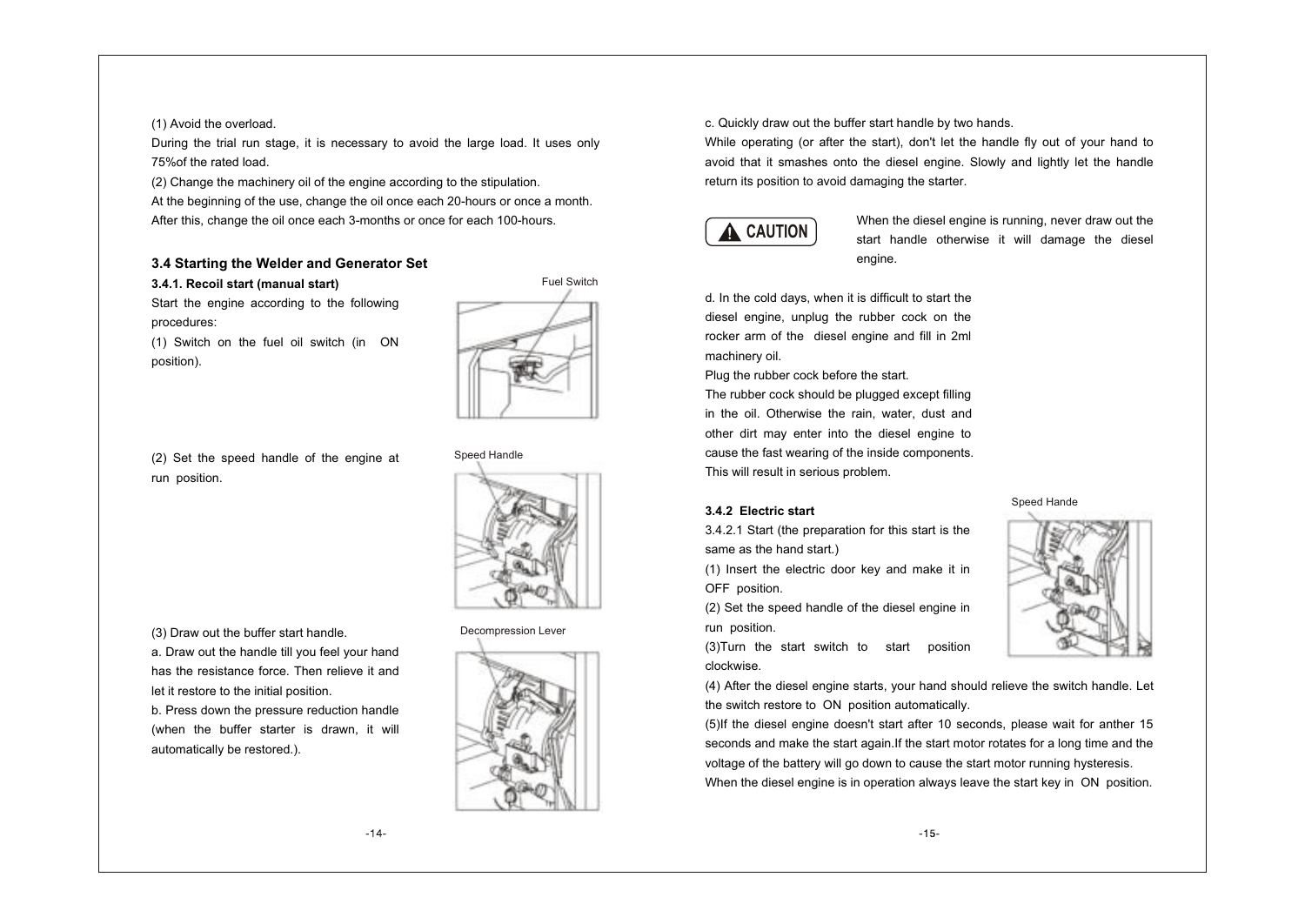#### (1) Avoid the overload.

During the trial run stage, it is necessary to avoid the large load. It uses only 75%of the rated load.

(2) Change the machinery oil of the engine according to the stipulation.

At the beginning of the use, change the oil once each 20-hours or once a month. After this, change the oil once each 3-months or once for each 100-hours.

#### **3.4 Starting the Welder and Generator Set**

#### **3.4.1. Recoil start (manual start)**

Start the engine according to the following procedures:

(1) Switch on the fuel oil switch (in ON position).



Speed Handle

(2) Set the speed handle of the engine at run position.

(3) Draw out the buffer start handle.

a. Draw out the handle till you feel your hand has the resistance force. Then relieve it and let it restore to the initial position.

b. Press down the pressure reduction handle (when the buffer starter is drawn, it will automatically be restored.).

#### Decompression Lever



c. Quickly draw out the buffer start handle by two hands.

While operating (or after the start), don't let the handle fly out of your hand to avoid that it smashes onto the diesel engine. Slowly and lightly let the handle return its position to avoid damaging the starter.



When the diesel engine is running, never draw out the start handle otherwise it will damage the diesel engine.

d. In the cold days, when it is difficult to start the diesel engine, unplug the rubber cock on the rocker arm of the diesel engine and fill in 2ml machinery oil.

Plug the rubber cock before the start.

The rubber cock should be plugged except filling in the oil. Otherwise the rain, water, dust and other dirt may enter into the diesel engine to cause the fast wearing of the inside components. This will result in serious problem.

#### **3.4.2 Electric start**

3.4.2.1 Start (the preparation for this start is the same as the hand start.)

(1) Insert the electric door key and make it in OFF position.

(2) Set the speed handle of the diesel engine in run position.

(3)Turn the start switch to start position clockwise.

(4) After the diesel engine starts, your hand should relieve the switch handle. Let the switch restore to ON position automatically.

(5)If the diesel engine doesn't start after 10 seconds, please wait for anther 15 seconds and make the start again.If the start motor rotates for a long time and the voltage of the battery will go down to cause the start motor running hysteresis. When the diesel engine is in operation always leave the start key in ON position.



Speed Hande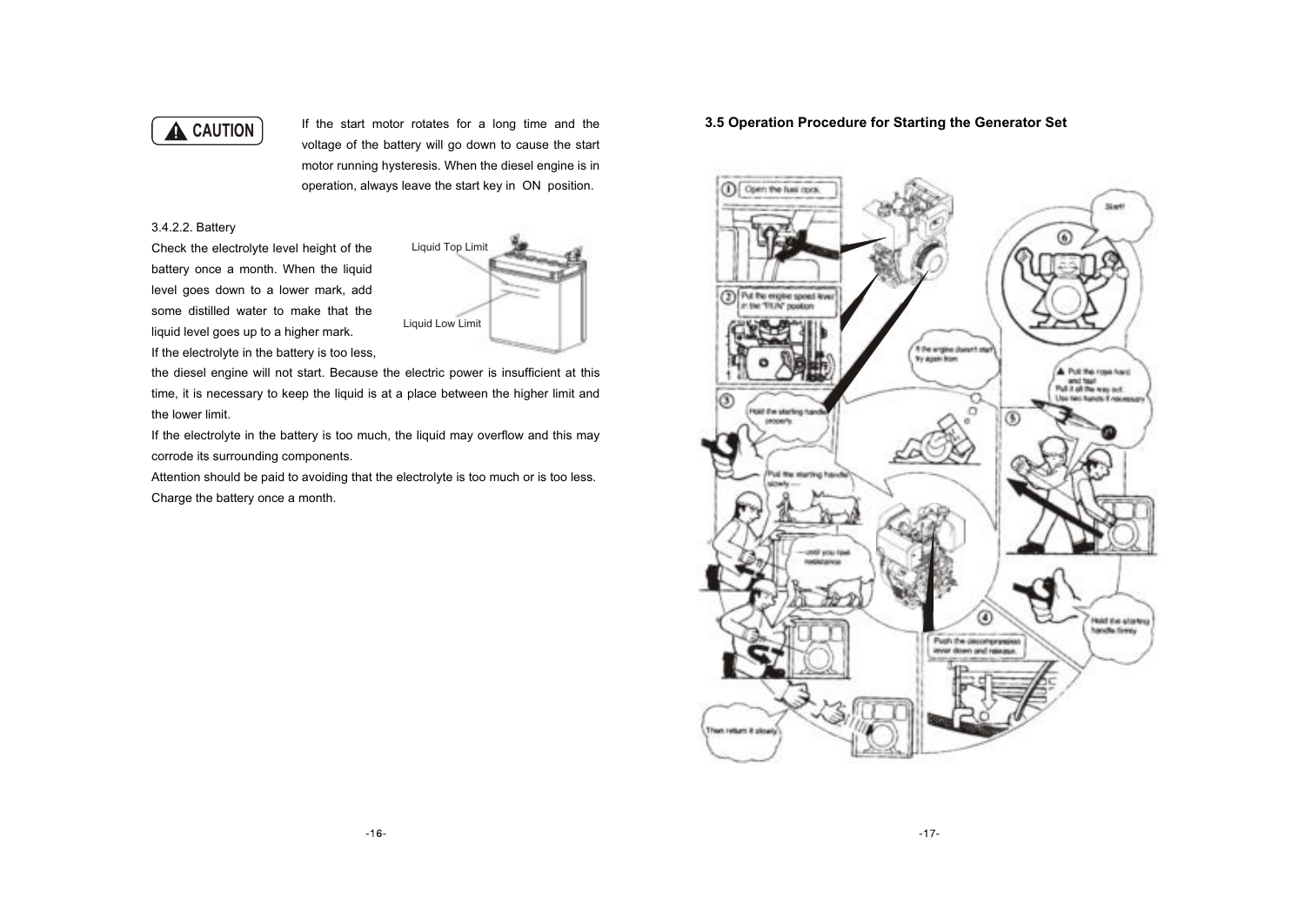# **A** CAUTION

If the start motor rotates for a long time and the voltage of the battery will go down to cause the start motor running hysteresis. When the diesel engine is in operation, always leave the start key in ON position.

#### 3.4.2.2. Battery

Check the electrolyte level height of the battery once a month. When the liquid level goes down to a lower mark, add some distilled water to make that the liquid level goes up to a higher mark. If the electrolyte in the battery is too less,



the diesel engine will not start. Because the electric power is insufficient at this time, it is necessary to keep the liquid is at a place between the higher limit and the lower limit.

If the electrolyte in the battery is too much, the liquid may overflow and this may corrode its surrounding components.

Attention should be paid to avoiding that the electrolyte is too much or is too less. Charge the battery once a month.

### **3.5 Operation Procedure for Starting the Generator Set**

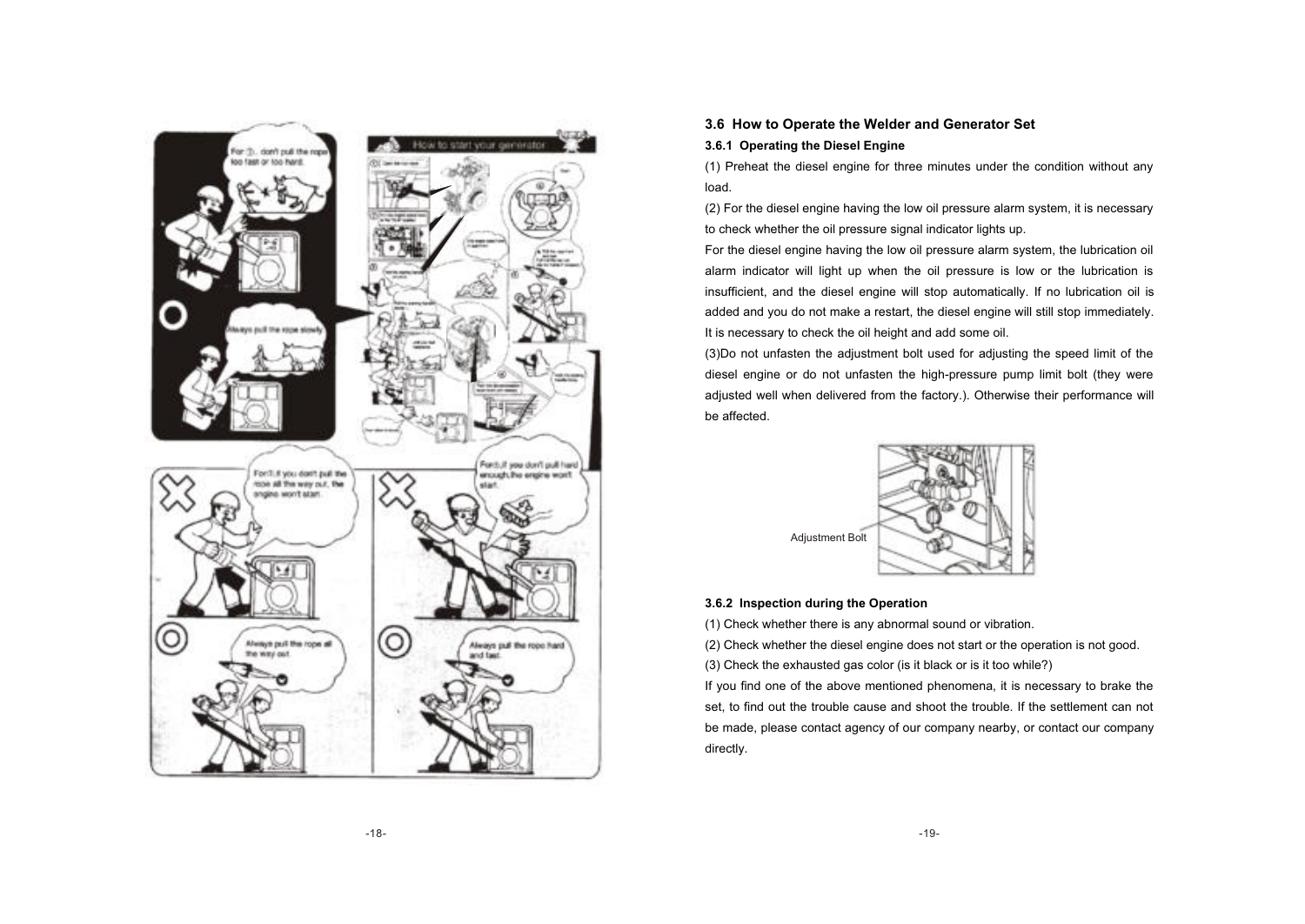

#### **3.6 How to Operate the Welder and Generator Set**

#### **3.6.1 Operating the Diesel Engine**

(1) Preheat the diesel engine for three minutes under the condition without any load.

(2) For the diesel engine having the low oil pressure alarm system, it is necessary to check whether the oil pressure signal indicator lights up.

For the diesel engine having the low oil pressure alarm system, the lubrication oil alarm indicator will light up when the oil pressure is low or the lubrication is insufficient, and the diesel engine will stop automatically. If no lubrication oil is added and you do not make a restart, the diesel engine will still stop immediately. It is necessary to check the oil height and add some oil.

(3)Do not unfasten the adjustment bolt used for adjusting the speed limit of the diesel engine or do not unfasten the high-pressure pump limit bolt (they were adjusted well when delivered from the factory.). Otherwise their performance will be affected.



#### **3.6.2 Inspection during the Operation**

(1) Check whether there is any abnormal sound or vibration.

(2) Check whether the diesel engine does not start or the operation is not good.

(3) Check the exhausted gas color (is it black or is it too while?)

If you find one of the above mentioned phenomena, it is necessary to brake the set, to find out the trouble cause and shoot the trouble. If the settlement can not be made, please contact agency of our company nearby, or contact our company directly.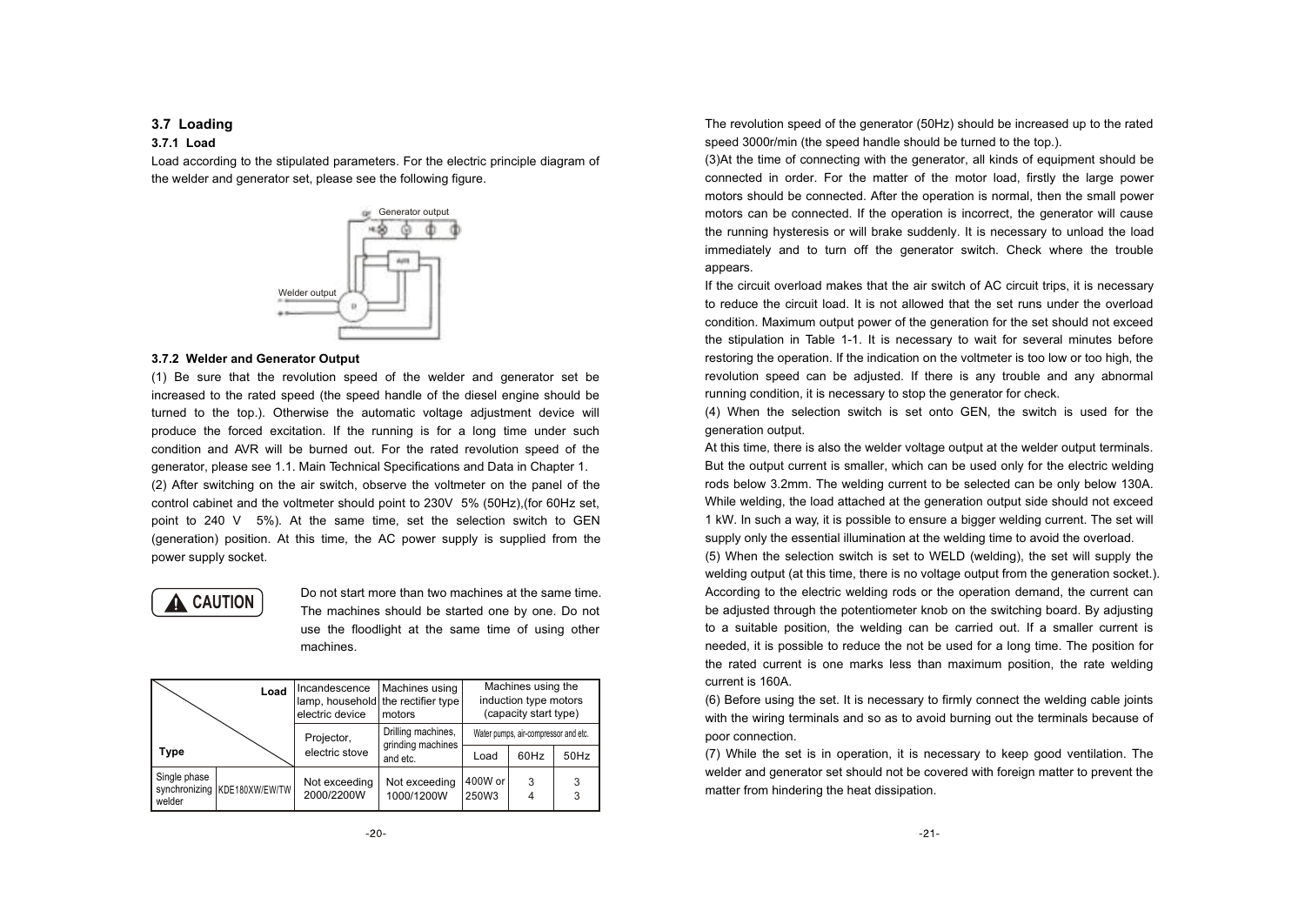#### **3.7 Loading**

#### **3.7.1 Load**

Load according to the stipulated parameters. For the electric principle diagram of the welder and generator set, please see the following figure.



#### **3.7.2 Welder and Generator Output**

(1) Be sure that the revolution speed of the welder and generator set be increased to the rated speed (the speed handle of the diesel engine should be turned to the top.). Otherwise the automatic voltage adjustment device will produce the forced excitation. If the running is for a long time under such condition and AVR will be burned out. For the rated revolution speed of the generator, please see 1.1. Main Technical Specifications and Data in Chapter 1. (2) After switching on the air switch, observe the voltmeter on the panel of the control cabinet and the voltmeter should point to 230V 5% (50Hz),(for 60Hz set, point to 240 V 5%). At the same time, set the selection switch to GEN (generation) position. At this time, the AC power supply is supplied from the power supply socket.



Do not start more than two machines at the same time. The machines should be started one by one. Do not use the floodlight at the same time of using other machines.

|                        | Load                         | Incandescence<br>lamp, household the rectifier type<br>electric device | l Machines using<br>motors              | Machines using the<br>induction type motors<br>(capacity start type) |      |        |  |
|------------------------|------------------------------|------------------------------------------------------------------------|-----------------------------------------|----------------------------------------------------------------------|------|--------|--|
|                        |                              | Projector,                                                             | Drilling machines,<br>grinding machines | Water pumps, air-compressor and etc.                                 |      |        |  |
| Type                   |                              | electric stove                                                         | and etc.                                | Load                                                                 | 60Hz | 50Hz   |  |
| Single phase<br>welder | synchronizing KDE180XW/EW/TW | Not exceeding<br>2000/2200W                                            | Not exceeding<br>1000/1200W             | 400W or<br>250W3                                                     | 3    | 3<br>3 |  |

The revolution speed of the generator (50Hz) should be increased up to the rated speed 3000r/min (the speed handle should be turned to the top.).

(3)At the time of connecting with the generator, all kinds of equipment should be connected in order. For the matter of the motor load, firstly the large power motors should be connected. After the operation is normal, then the small power motors can be connected. If the operation is incorrect, the generator will cause the running hysteresis or will brake suddenly. It is necessary to unload the load immediately and to turn off the generator switch. Check where the trouble appears.

If the circuit overload makes that the air switch of AC circuit trips, it is necessary to reduce the circuit load. It is not allowed that the set runs under the overload condition. Maximum output power of the generation for the set should not exceed the stipulation in Table 1-1. It is necessary to wait for several minutes before restoring the operation. If the indication on the voltmeter is too low or too high, the revolution speed can be adjusted. If there is any trouble and any abnormal running condition, it is necessary to stop the generator for check.

(4) When the selection switch is set onto GEN, the switch is used for the generation output.

At this time, there is also the welder voltage output at the welder output terminals. But the output current is smaller, which can be used only for the electric welding rods below 3.2mm. The welding current to be selected can be only below 130A. While welding, the load attached at the generation output side should not exceed 1 kW. In such a way, it is possible to ensure a bigger welding current. The set will supply only the essential illumination at the welding time to avoid the overload.

(5) When the selection switch is set to WELD (welding), the set will supply the welding output (at this time, there is no voltage output from the generation socket.). According to the electric welding rods or the operation demand, the current can be adjusted through the potentiometer knob on the switching board. By adjusting to a suitable position, the welding can be carried out. If a smaller current is needed, it is possible to reduce the not be used for a long time. The position for the rated current is one marks less than maximum position, the rate welding current is 160A.

(6) Before using the set. It is necessary to firmly connect the welding cable joints with the wiring terminals and so as to avoid burning out the terminals because of poor connection.

(7) While the set is in operation, it is necessary to keep good ventilation. The welder and generator set should not be covered with foreign matter to prevent the matter from hindering the heat dissipation.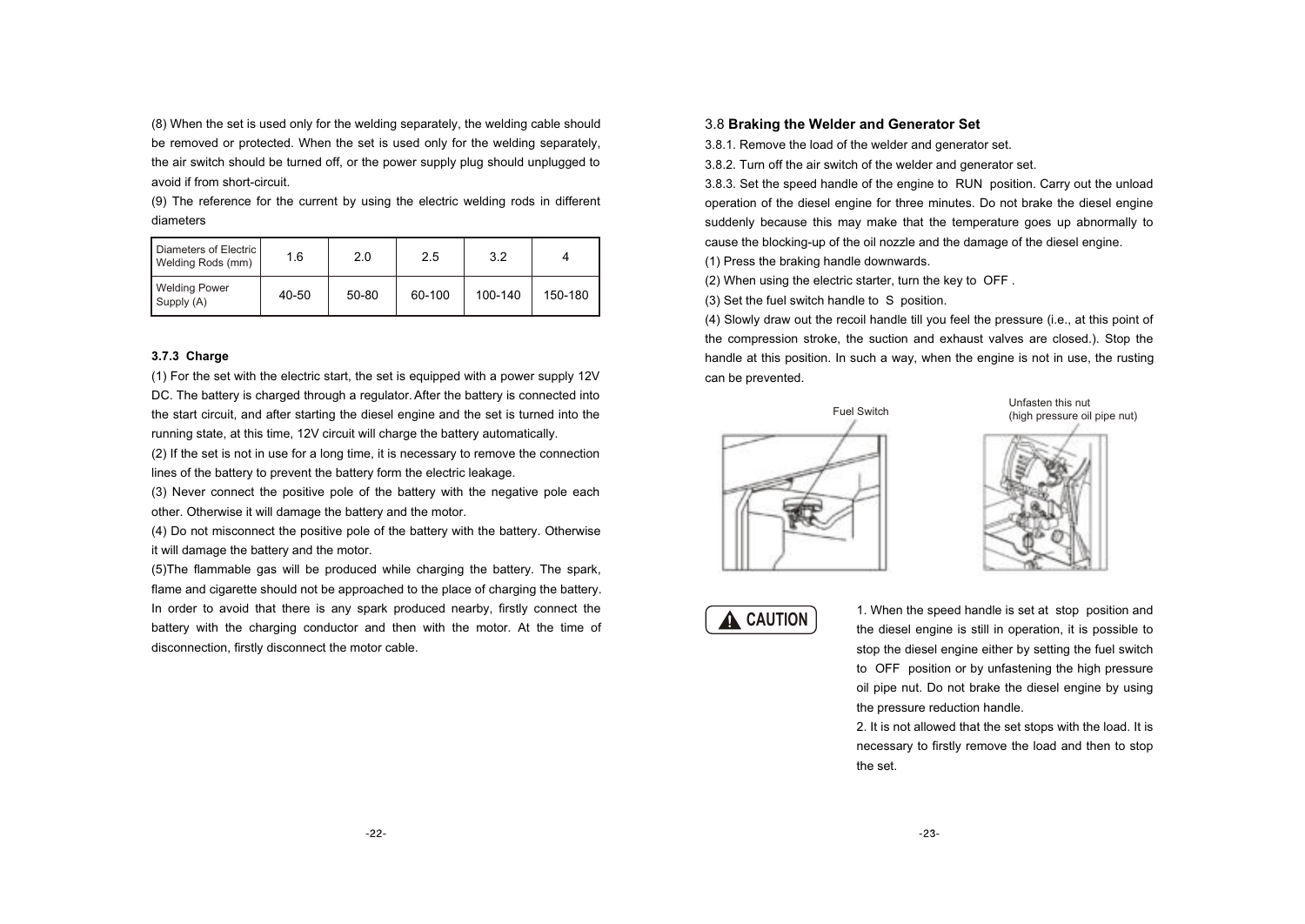(8) When the set is used only for the welding separately, the welding cable should be removed or protected. When the set is used only for the welding separately, the air switch should be turned off, or the power supply plug should unplugged to avoid if from short-circuit.

(9) The reference for the current by using the electric welding rods in different diameters

| Diameters of Electric<br>Welding Rods (mm) | 1.6   | 2.0   | 2.5    | 3.2     |         |
|--------------------------------------------|-------|-------|--------|---------|---------|
| <b>Welding Power</b><br>Supply (A)         | 40-50 | 50-80 | 60-100 | 100-140 | 150-180 |

#### **3.7.3 Charge**

(1) For the set with the electric start, the set is equipped with a power supply 12V DC. The battery is charged through a regulator. After the battery is connected into the start circuit, and after starting the diesel engine and the set is turned into the running state, at this time, 12V circuit will charge the battery automatically.

(2) If the set is not in use for a long time, it is necessary to remove the connection lines of the battery to prevent the battery form the electric leakage.

(3) Never connect the positive pole of the battery with the negative pole each other. Otherwise it will damage the battery and the motor.

(4) Do not misconnect the positive pole of the battery with the battery. Otherwise it will damage the battery and the motor.

(5)The flammable gas will be produced while charging the battery. The spark, flame and cigarette should not be approached to the place of charging the battery. In order to avoid that there is any spark produced nearby, firstly connect the battery with the charging conductor and then with the motor. At the time of disconnection, firstly disconnect the motor cable.

#### 3.8 **Braking the Welder and Generator Set**

3.8.1. Remove the load of the welder and generator set.

3.8.2. Turn off the air switch of the welder and generator set.

3.8.3. Set the speed handle of the engine to RUN position. Carry out the unload operation of the diesel engine for three minutes. Do not brake the diesel engine suddenly because this may make that the temperature goes up abnormally to cause the blocking-up of the oil nozzle and the damage of the diesel engine.

(1) Press the braking handle downwards.

(2) When using the electric starter, turn the key to OFF .

(3) Set the fuel switch handle to S position.

(4) Slowly draw out the recoil handle till you feel the pressure (i.e., at this point of the compression stroke, the suction and exhaust valves are closed.). Stop the handle at this position. In such a way, when the engine is not in use, the rusting can be prevented.



Unfasten this nut (high pressure oil pipe nut)



**A** CAUTION

1. When the speed handle is set at stop position and the diesel engine is still in operation, it is possible to stop the diesel engine either by setting the fuel switch to OFF position or by unfastening the high pressure oil pipe nut. Do not brake the diesel engine by using the pressure reduction handle.

2. It is not allowed that the set stops with the load. It is necessary to firstly remove the load and then to stop the set.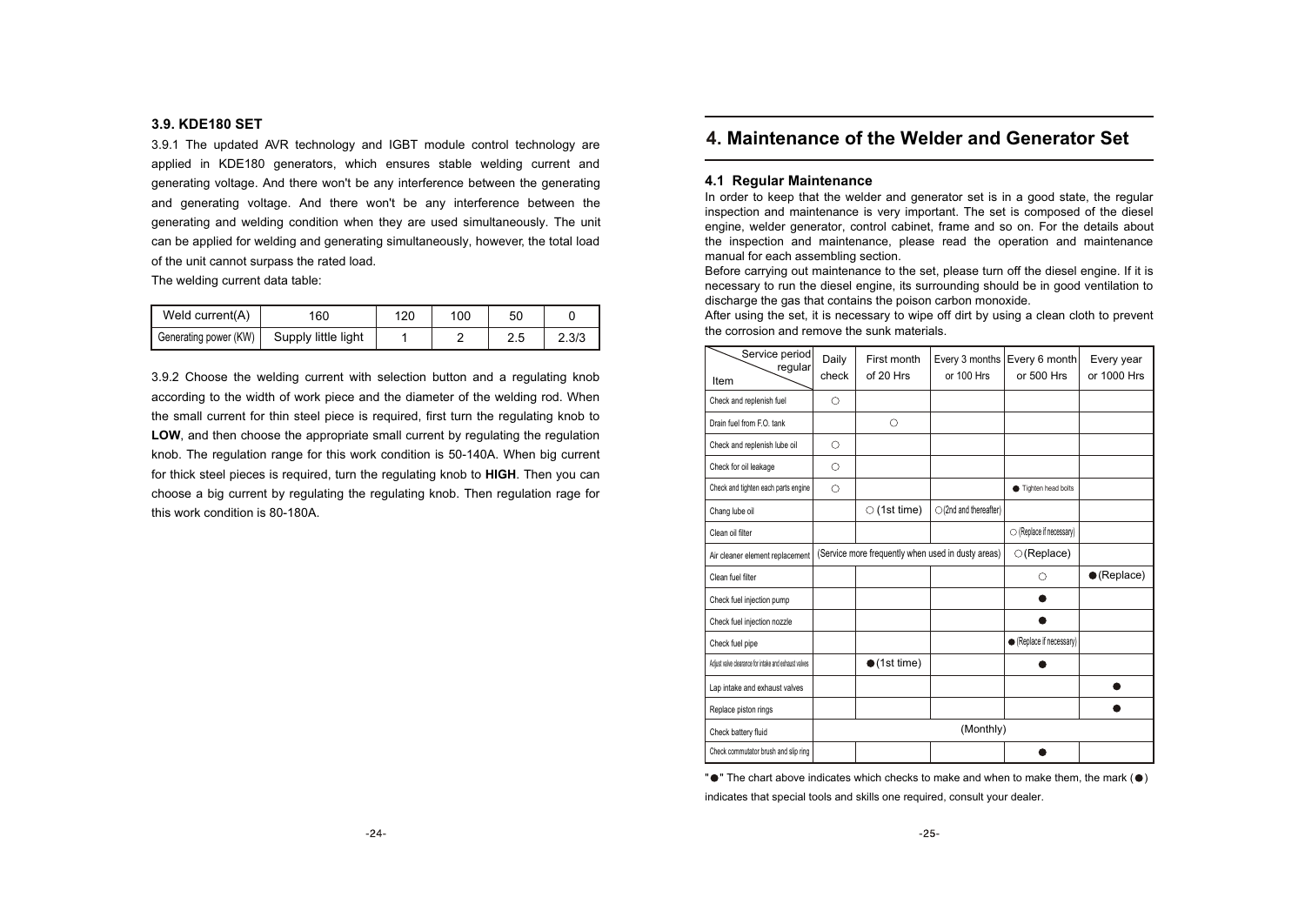#### **3.9. KDE180 SET**

3.9.1 The updated AVR technology and IGBT module control technology are applied in KDE180 generators, which ensures stable welding current and generating voltage. And there won't be any interference between the generating and generating voltage. And there won't be any interference between the generating and welding condition when they are used simultaneously. The unit can be applied for welding and generating simultaneously, however, the total load of the unit cannot surpass the rated load.

The welding current data table:

| Weld current(A)       | 160                 | 120 | 100 | 50   |       |
|-----------------------|---------------------|-----|-----|------|-------|
| Generating power (KW) | Supply little light |     |     | ں ،ے | 2.3/3 |

3.9.2 Choose the welding current with selection button and a regulating knob according to the width of work piece and the diameter of the welding rod. When the small current for thin steel piece is required, first turn the regulating knob to LOW, and then choose the appropriate small current by regulating the regulation knob. The regulation range for this work condition is 50-140A. When big current for thick steel pieces is required, turn the regulating knob to **HIGH**. Then you can choose a big current by regulating the regulating knob. Then regulation rage for this work condition is 80-180A.

### **4. Maintenance of the Welder and Generator Set**

#### **4.1 Regular Maintenance**

In order to keep that the welder and generator set is in a good state, the regular inspection and maintenance is very important. The set is composed of the diesel engine, welder generator, control cabinet, frame and so on. For the details about the inspection and maintenance, please read the operation and maintenance manual for each assembling section.

Before carrying out maintenance to the set, please turn off the diesel engine. If it is necessary to run the diesel engine, its surrounding should be in good ventilation to discharge the gas that contains the poison carbon monoxide.

After using the set, it is necessary to wipe off dirt by using a clean cloth to prevent the corrosion and remove the sunk materials.

| Service period<br>regular<br>Item                    | Daily<br>check | First month<br>of 20 Hrs | Every 3 months<br>or 100 Hrs                       | Every 6 month<br>or 500 Hrs | Every year<br>or 1000 Hrs |
|------------------------------------------------------|----------------|--------------------------|----------------------------------------------------|-----------------------------|---------------------------|
| Check and replenish fuel                             | O              |                          |                                                    |                             |                           |
| Drain fuel from F.O. tank                            |                | О                        |                                                    |                             |                           |
| Check and replenish lube oil                         | 0              |                          |                                                    |                             |                           |
| Check for oil leakage                                | Ο              |                          |                                                    |                             |                           |
| Check and tighten each parts engine                  | О              |                          |                                                    | Tighten head bolts          |                           |
| Chang lube oil                                       |                | $\circ$ (1st time)       | $\bigcirc$ (2nd and thereafter)                    |                             |                           |
| Clean oil filter                                     |                |                          |                                                    | ○ (Replace if necessary)    |                           |
| Air cleaner element replacement                      |                |                          | (Service more frequently when used in dusty areas) | $\bigcirc$ (Replace)        |                           |
| Clean fuel filter                                    |                |                          |                                                    | ∩                           | $\bullet$ (Replace)       |
| Check fuel injection pump                            |                |                          |                                                    |                             |                           |
| Check fuel injection nozzle                          |                |                          |                                                    |                             |                           |
| Check fuel pipe                                      |                |                          |                                                    | ● (Replace if necessary)    |                           |
| Adjust valve clearance for intake and exhaust valves |                | $\bullet$ (1st time)     |                                                    |                             |                           |
| Lap intake and exhaust valves                        |                |                          |                                                    |                             |                           |
| Replace piston rings                                 |                |                          |                                                    |                             |                           |
| Check battery fluid                                  |                |                          | (Monthly)                                          |                             |                           |
| Check commutator brush and slip ring                 |                |                          |                                                    |                             |                           |

" $\bullet$ " The chart above indicates which checks to make and when to make them, the mark ( $\bullet$ ) indicates that special tools and skills one required, consult your dealer.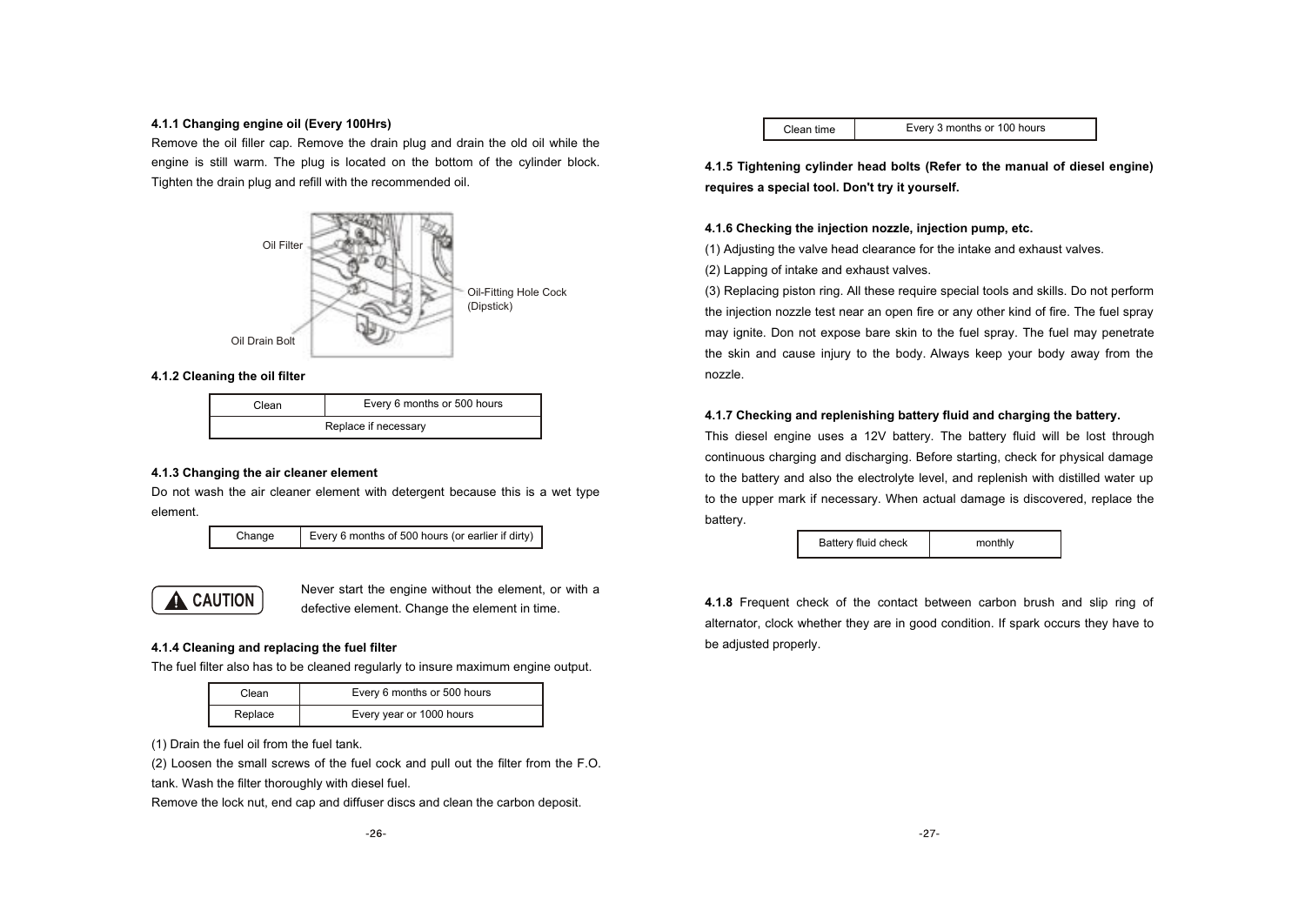#### **4.1.1 Changing engine oil (Every 100Hrs)**

Remove the oil filler cap. Remove the drain plug and drain the old oil while the engine is still warm. The plug is located on the bottom of the cylinder block. Tighten the drain plug and refill with the recommended oil.



#### **4.1.2 Cleaning the oil filter**

| วิlean               | Every 6 months or 500 hours |  |  |  |  |  |
|----------------------|-----------------------------|--|--|--|--|--|
| Replace if necessary |                             |  |  |  |  |  |

#### **4.1.3 Changing the air cleaner element**

Do not wash the air cleaner element with detergent because this is a wet type element.

Change Every 6 months of 500 hours (or earlier if dirty)



Never start the engine without the element, or with a defective element. Change the element in time.

#### **4.1.4 Cleaning and replacing the fuel filter**

The fuel filter also has to be cleaned regularly to insure maximum engine output.

| Clean   | Every 6 months or 500 hours |
|---------|-----------------------------|
| Replace | Every year or 1000 hours    |

(1) Drain the fuel oil from the fuel tank.

(2) Loosen the small screws of the fuel cock and pull out the filter from the F.O. tank. Wash the filter thoroughly with diesel fuel.

Remove the lock nut, end cap and diffuser discs and clean the carbon deposit.

Clean time Every 3 months or 100 hours

**4.1.5 Tightening cylinder head bolts (Refer to the manual of diesel engine) requires a special tool. Don't try it yourself.**

#### **4.1.6 Checking the injection nozzle, injection pump, etc.**

(1) Adjusting the valve head clearance for the intake and exhaust valves.

(2) Lapping of intake and exhaust valves.

(3) Replacing piston ring. All these require special tools and skills. Do not perform the injection nozzle test near an open fire or any other kind of fire. The fuel spray may ignite. Don not expose bare skin to the fuel spray. The fuel may penetrate the skin and cause injury to the body. Always keep your body away from the nozzle.

#### **4.1.7 Checking and replenishing battery fluid and charging the battery.**

This diesel engine uses a 12V battery. The battery fluid will be lost through continuous charging and discharging. Before starting, check for physical damage to the battery and also the electrolyte level, and replenish with distilled water up to the upper mark if necessary. When actual damage is discovered, replace the battery.

Battery fluid check | monthly

**4.1.8** Frequent check of the contact between carbon brush and slip ring of alternator, clock whether they are in good condition. If spark occurs they have to be adjusted properly.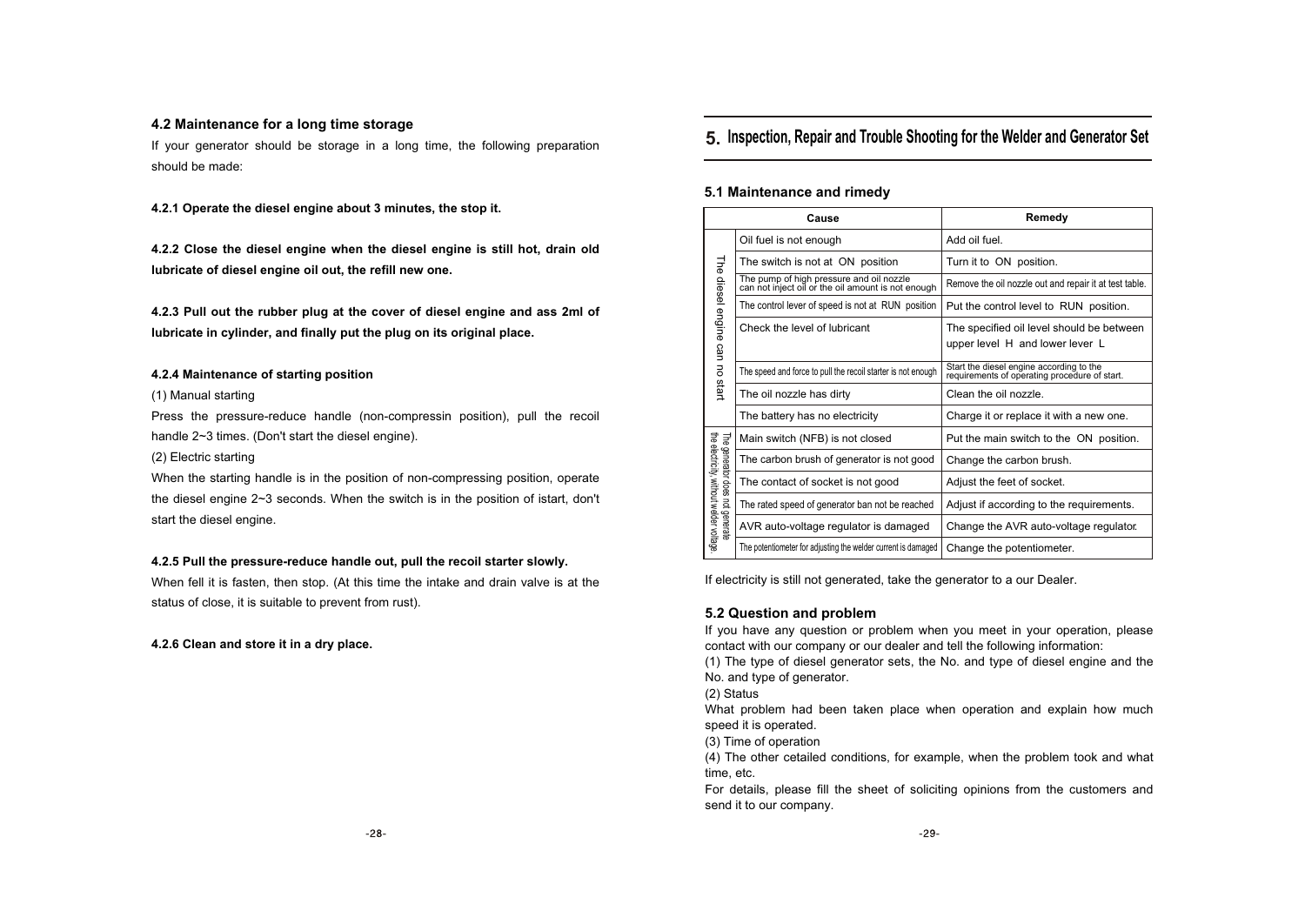#### **4.2 Maintenance for a long time storage**

If your generator should be storage in a long time, the following preparation should be made:

**4.2.1 Operate the diesel engine about 3 minutes, the stop it.**

**4.2.2 Close the diesel engine when the diesel engine is still hot, drain old lubricate of diesel engine oil out, the refill new one.**

**4.2.3 Pull out the rubber plug at the cover of diesel engine and ass 2ml of lubricate in cylinder, and finally put the plug on its original place.**

#### **4.2.4 Maintenance of starting position**

#### (1) Manual starting

Press the pressure-reduce handle (non-compressin position), pull the recoil handle 2~3 times. (Don't start the diesel engine).

#### (2) Electric starting

When the starting handle is in the position of non-compressing position, operate the diesel engine 2~3 seconds. When the switch is in the position of istart, don't start the diesel engine.

#### **4.2.5 Pull the pressure-reduce handle out, pull the recoil starter slowly.**

When fell it is fasten, then stop. (At this time the intake and drain valve is at the status of close, it is suitable to prevent from rust).

#### **4.2.6 Clean and store it in a dry place.**

# **5. Inspection, Repair and Trouble Shooting for the Welder and Generator Set**

#### **5.1 Maintenance and rimedy**

|                                                                             | Cause                                                                                          | Remedy                                                                                    |  |  |
|-----------------------------------------------------------------------------|------------------------------------------------------------------------------------------------|-------------------------------------------------------------------------------------------|--|--|
|                                                                             | Oil fuel is not enough                                                                         | Add oil fuel.                                                                             |  |  |
|                                                                             | The switch is not at ON position                                                               | Turn it to ON position.                                                                   |  |  |
| The diesel engine can                                                       | The pump of high pressure and oil nozzle<br>can not inject oil or the oil amount is not enough | Remove the oil nozzle out and repair it at test table.                                    |  |  |
|                                                                             | The control lever of speed is not at RUN position                                              | Put the control level to RUN position.                                                    |  |  |
|                                                                             | Check the level of lubricant                                                                   | The specified oil level should be between                                                 |  |  |
|                                                                             |                                                                                                | upper level H and lower lever L                                                           |  |  |
| $\overline{5}$                                                              | The speed and force to pull the recoil starter is not enough                                   | Start the diesel engine according to the<br>requirements of operating procedure of start. |  |  |
| start                                                                       | The oil nozzle has dirty                                                                       | Clean the oil nozzle.                                                                     |  |  |
|                                                                             | The battery has no electricity                                                                 | Charge it or replace it with a new one.                                                   |  |  |
|                                                                             | Main switch (NFB) is not closed                                                                | Put the main switch to the ON position.                                                   |  |  |
|                                                                             | The carbon brush of generator is not good                                                      | Change the carbon brush.                                                                  |  |  |
|                                                                             | The contact of socket is not good                                                              | Adjust the feet of socket.                                                                |  |  |
| The generator does not generate<br>the electricity, without welder voltage. | The rated speed of generator ban not be reached                                                | Adjust if according to the requirements.                                                  |  |  |
|                                                                             | AVR auto-voltage regulator is damaged                                                          | Change the AVR auto-voltage regulator.                                                    |  |  |
|                                                                             | The potentiometer for adjusting the welder current is damaged                                  | Change the potentiometer.                                                                 |  |  |

If electricity is still not generated, take the generator to a our Dealer.

#### **5.2 Question and problem**

If you have any question or problem when you meet in your operation, please contact with our company or our dealer and tell the following information:

(1) The type of diesel generator sets, the No. and type of diesel engine and the No. and type of generator.

(2) Status

What problem had been taken place when operation and explain how much speed it is operated.

(3) Time of operation

(4) The other cetailed conditions, for example, when the problem took and what time, etc.

For details, please fill the sheet of soliciting opinions from the customers and send it to our company.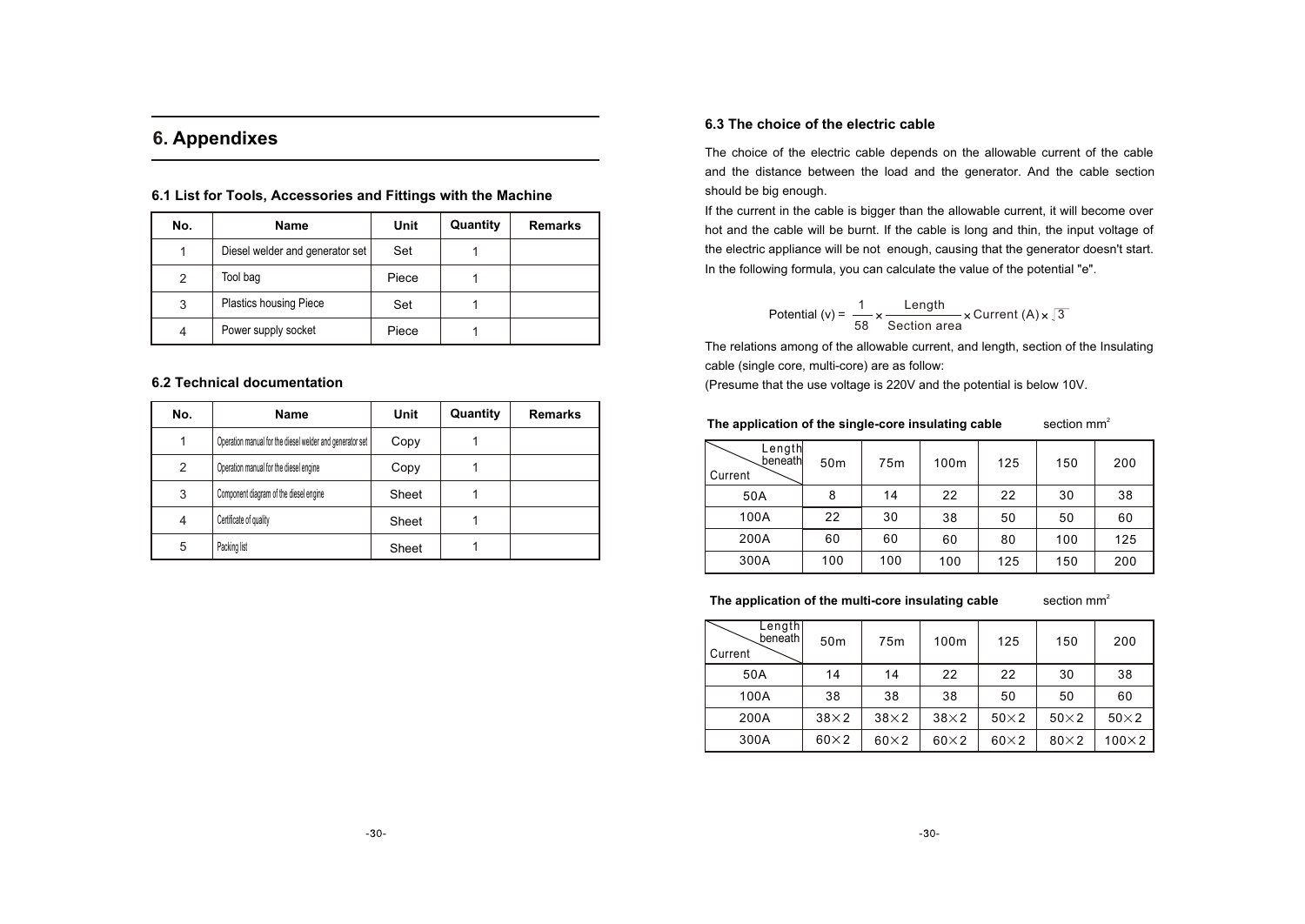# **6. Appendixes**

| No.           | <b>Name</b>                     | Unit  | Quantity | <b>Remarks</b> |
|---------------|---------------------------------|-------|----------|----------------|
|               | Diesel welder and generator set | Set   |          |                |
| $\mathcal{P}$ | Tool bag                        | Piece |          |                |
| 3             | <b>Plastics housing Piece</b>   | Set   |          |                |
| 4             | Power supply socket             | Piece |          |                |

**6.1 List for Tools, Accessories and Fittings with the Machine**

#### **6.2 Technical documentation**

| No. | Name                                                     | Unit  | Quantity | <b>Remarks</b> |
|-----|----------------------------------------------------------|-------|----------|----------------|
|     | Operation manual for the diesel welder and generator set | Copy  |          |                |
| 2   | Operation manual for the diesel engine                   | Copy  |          |                |
| 3   | Component diagram of the diesel engine                   | Sheet |          |                |
| 4   | Certificate of quality                                   | Sheet |          |                |
| 5   | Packing list                                             | Sheet |          |                |

#### **6.3 The choice of the electric cable**

The choice of the electric cable depends on the allowable current of the cable and the distance between the load and the generator. And the cable section should be big enough.

If the current in the cable is bigger than the allowable current, it will become over hot and the cable will be burnt. If the cable is long and thin, the input voltage of the electric appliance will be not enough, causing that the generator doesn't start. In the following formula, you can calculate the value of the potential "e".

Potential (v) = 
$$
\frac{1}{58} \times \frac{\text{Length}}{\text{Section area}} \times \text{Current (A)} \times \sqrt{3}
$$

The relations among of the allowable current, and length, section of the Insulating cable (single core, multi-core) are as follow:

(Presume that the use voltage is 220V and the potential is below 10V.

#### section  $mm<sup>2</sup>$ The application of the single-core insulating cable

| Length<br>beneath<br>Current | 50 <sub>m</sub> | 75 <sub>m</sub> | 100m | 125 | 150 | 200 |
|------------------------------|-----------------|-----------------|------|-----|-----|-----|
| 50A                          | 8               | 14              | 22   | 22  | 30  | 38  |
| 100A                         | 22              | 30              | 38   | 50  | 50  | 60  |
| 200A                         | 60              | 60              | 60   | 80  | 100 | 125 |
| 300A                         | 100             | 100             | 100  | 125 | 150 | 200 |

The application of the multi-core insulating cable

section  $mm<sup>2</sup>$ 

| Lengthl<br>beneath<br>Current | 50 <sub>m</sub> | 75 <sub>m</sub> | 100m        | 125         | 150         | 200           |
|-------------------------------|-----------------|-----------------|-------------|-------------|-------------|---------------|
| 50A                           | 14              | 14              | 22          | 22          | 30          | 38            |
| 100A                          | 38              | 38              | 38          | 50          | 50          | 60            |
| 200A                          | $38\times2$     | $38\times2$     | $38\times2$ | $50\times2$ | $50\times2$ | $50\times2$   |
| 300A                          | $60\times2$     | $60\times2$     | $60\times2$ | $60\times2$ | $80\times2$ | $100\times 2$ |